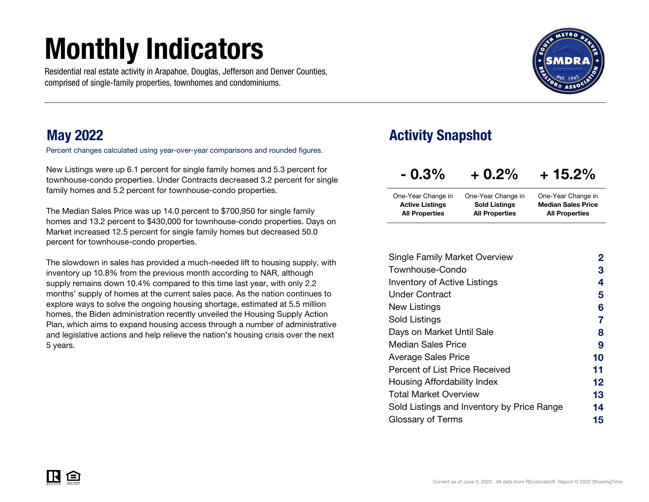# Monthly Indicators

Residential real estate activity in Arapahoe, Douglas, Jefferson and Denver Counties, comprised of single-family properties, townhomes and condominiums.



## May 2022

Percent changes calculated using year-over-year comparisons and rounded figures.

New Listings were up 6.1 percent for single family homes and 5.3 percent for townhouse-condo properties. Under Contracts decreased 3.2 percent for single family homes and 5.2 percent for townhouse-condo properties.

The Median Sales Price was up 14.0 percent to \$700,950 for single family homes and 13.2 percent to \$430,000 for townhouse-condo properties. Days on Market increased 12.5 percent for single family homes but decreased 50.0 percent for townhouse-condo properties.

The slowdown in sales has provided a much-needed lift to housing supply, with inventory up 10.8% from the previous month according to NAR, although supply remains down 10.4% compared to this time last year, with only 2.2 months' supply of homes at the current sales pace. As the nation continues to explore ways to solve the ongoing housing shortage, estimated at 5.5 million homes, the Biden administration recently unveiled the Housing Supply Action Plan, which aims to expand housing access through a number of administrative and legislative actions and help relieve the nation's housing crisis over the next 5 years.

## Activity Snapshot

| $-0.3\%$               | $+0.2%$               | $+15.2%$                  |
|------------------------|-----------------------|---------------------------|
| One-Year Change in     | One-Year Change in    | One-Year Change in        |
| <b>Active Listings</b> | <b>Sold Listings</b>  | <b>Median Sales Price</b> |
| <b>All Properties</b>  | <b>All Properties</b> | <b>All Properties</b>     |

| <b>Single Family Market Overview</b>       | 2                 |
|--------------------------------------------|-------------------|
| Townhouse-Condo                            | 3                 |
| <b>Inventory of Active Listings</b>        | 4                 |
| <b>Under Contract</b>                      | 5                 |
| New Listings                               | 6                 |
| Sold Listings                              |                   |
| Days on Market Until Sale                  | 8                 |
| Median Sales Price                         | 9                 |
| <b>Average Sales Price</b>                 | 10                |
| Percent of List Price Received             | 11                |
| Housing Affordability Index                | $12 \overline{ }$ |
| <b>Total Market Overview</b>               | 13                |
| Sold Listings and Inventory by Price Range | 14                |
| Glossary of Terms                          | 15                |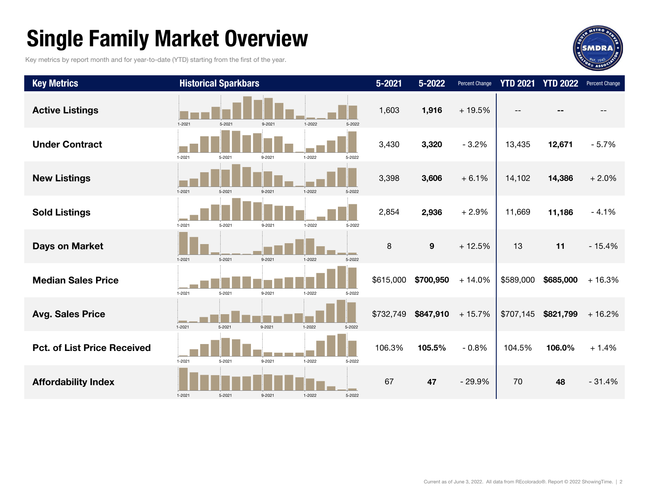# Single Family Market Overview

Key metrics by report month and for year-to-date (YTD) starting from the first of the year.



| <b>Key Metrics</b>                 |            | <b>Historical Sparkbars</b> |        |            |                  | $5 - 2021$ | 5-2022    | Percent Change | <b>YTD 2021</b> | <b>YTD 2022</b> | Percent Change |
|------------------------------------|------------|-----------------------------|--------|------------|------------------|------------|-----------|----------------|-----------------|-----------------|----------------|
| <b>Active Listings</b>             | $1 - 2021$ | 5-2021                      | 9-2021 | $1 - 2022$ | 5-2022           | 1,603      | 1,916     | $+19.5%$       |                 |                 |                |
| <b>Under Contract</b>              | 1-2021     | 5-2021                      | 9-2021 | 1-2022     | 5-2022           | 3,430      | 3,320     | $-3.2%$        | 13,435          | 12,671          | $-5.7%$        |
| <b>New Listings</b>                | $1 - 2021$ | 5-2021                      | 9-2021 | $1 - 2022$ | 5-2022           | 3,398      | 3,606     | $+6.1%$        | 14,102          | 14,386          | $+2.0%$        |
| <b>Sold Listings</b>               | 1-2021     | 5-2021                      | 9-2021 | 1-2022     | 5-2022           | 2,854      | 2,936     | $+2.9%$        | 11,669          | 11,186          | $-4.1%$        |
| Days on Market                     | $1 - 2021$ | 5-2021                      | 9-2021 | $1 - 2022$ | al mar<br>5-2022 | $\,8\,$    | $9$       | $+12.5%$       | 13              | 11              | $-15.4%$       |
| <b>Median Sales Price</b>          | $1 - 2021$ | 5-2021                      | 9-2021 | $1 - 2022$ | 5-2022           | \$615,000  | \$700,950 | $+14.0%$       | \$589,000       | \$685,000       | $+16.3%$       |
| <b>Avg. Sales Price</b>            | $1 - 2021$ | $5 - 2021$                  | 9-2021 | $1 - 2022$ | 5-2022           | \$732,749  | \$847,910 | $+15.7%$       | \$707,145       | \$821,799       | $+16.2%$       |
| <b>Pct. of List Price Received</b> | $1 - 2021$ | 5-2021                      | 9-2021 | 1-2022     | 5-2022           | 106.3%     | 105.5%    | $-0.8%$        | 104.5%          | 106.0%          | $+1.4%$        |
| <b>Affordability Index</b>         | 1-2021     | 5-2021                      | 9-2021 | 1-2022     | 5-2022           | 67         | 47        | $-29.9%$       | 70              | 48              | $-31.4%$       |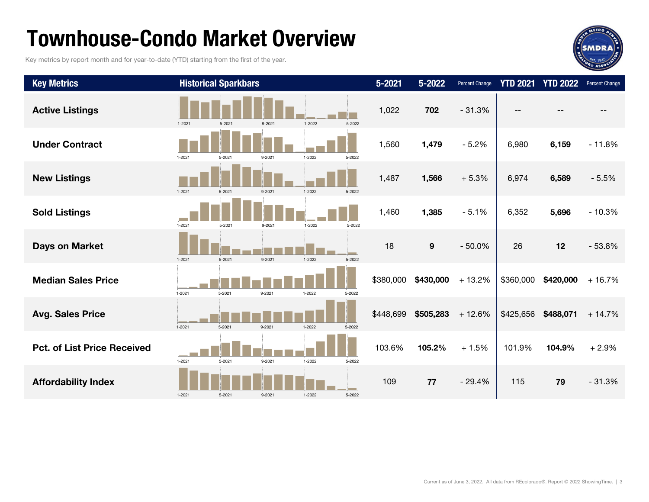## Townhouse-Condo Market Overview

Key metrics by report month and for year-to-date (YTD) starting from the first of the year.



| <b>Key Metrics</b>                 |            | <b>Historical Sparkbars</b> |            |            |        | $5 - 2021$ | $5 - 2022$ | Percent Change | <b>YTD 2021</b> | <b>YTD 2022</b> | Percent Change |
|------------------------------------|------------|-----------------------------|------------|------------|--------|------------|------------|----------------|-----------------|-----------------|----------------|
| <b>Active Listings</b>             | $1 - 2021$ | 5-2021                      | $9 - 2021$ | 1-2022     | 5-2022 | 1,022      | 702        | $-31.3%$       |                 |                 |                |
| <b>Under Contract</b>              | 1-2021     | 5-2021                      | 9-2021     | 1-2022     | 5-2022 | 1,560      | 1,479      | $-5.2%$        | 6,980           | 6,159           | $-11.8%$       |
| <b>New Listings</b>                | $1 - 2021$ | 5-2021                      | $9 - 2021$ | $1 - 2022$ | 5-2022 | 1,487      | 1,566      | $+5.3%$        | 6,974           | 6,589           | $-5.5%$        |
| <b>Sold Listings</b>               | $1 - 2021$ | $5 - 2021$                  | $9 - 2021$ | 1-2022     | 5-2022 | 1,460      | 1,385      | $-5.1%$        | 6,352           | 5,696           | $-10.3%$       |
| <b>Days on Market</b>              | $1 - 2021$ | $5 - 2021$                  | $9 - 2021$ | $1 - 2022$ | 5-2022 | 18         | 9          | $-50.0%$       | 26              | 12              | $-53.8%$       |
| <b>Median Sales Price</b>          | $1 - 2021$ | 5-2021                      | 9-2021     | $1 - 2022$ | 5-2022 | \$380,000  | \$430,000  | $+13.2%$       | \$360,000       | \$420,000       | $+16.7%$       |
| <b>Avg. Sales Price</b>            | $1 - 2021$ | $5 - 2021$                  | 9-2021     | $1 - 2022$ | 5-2022 | \$448,699  | \$505,283  | $+12.6%$       | \$425,656       | \$488,071       | $+14.7%$       |
| <b>Pct. of List Price Received</b> | $1 - 2021$ | 5-2021                      | 9-2021     | 1-2022     | 5-2022 | 103.6%     | 105.2%     | $+1.5%$        | 101.9%          | 104.9%          | $+2.9%$        |
| <b>Affordability Index</b>         | $1 - 2021$ | $5 - 2021$                  | 9-2021     | 1-2022     | 5-2022 | 109        | 77         | $-29.4%$       | 115             | 79              | $-31.3%$       |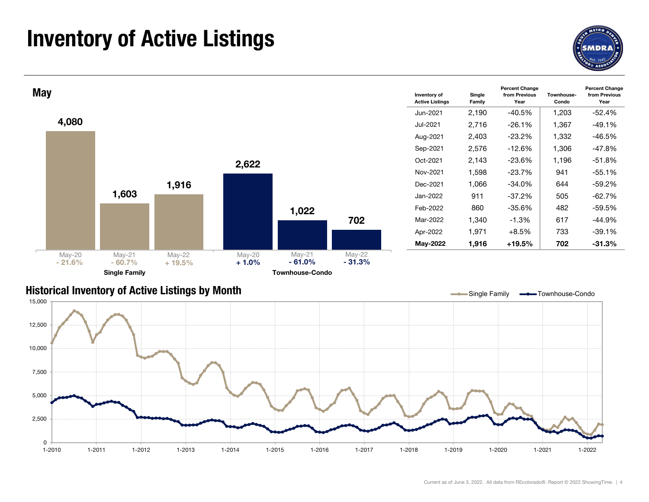## Inventory of Active Listings



Year



### Historical Inventory of Active Listings by Month

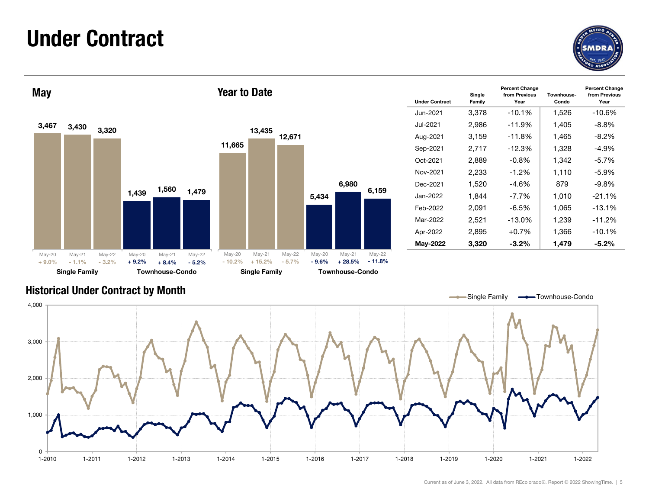## Under Contract





| <b>Year to Date</b> |                  |                  |         |       |       | <b>Under Contract</b> | Single<br>Family | <b>Percent Change</b><br>from Previous<br>Year | Townhouse-<br>Condo | <b>Percent Change</b><br>from Previous<br>Year |
|---------------------|------------------|------------------|---------|-------|-------|-----------------------|------------------|------------------------------------------------|---------------------|------------------------------------------------|
|                     |                  |                  |         |       |       | Jun-2021              | 3,378            | $-10.1%$                                       | 1,526               | $-10.6%$                                       |
|                     |                  |                  |         |       |       | Jul-2021              | 2,986            | -11.9%                                         | 1,405               | $-8.8%$                                        |
|                     | 13,435           | 12,671           |         |       |       | Aug-2021              | 3,159            | $-11.8%$                                       | 1,465               | $-8.2%$                                        |
| 11,665              |                  |                  |         |       |       | Sep-2021              | 2,717            | $-12.3%$                                       | 1,328               | $-4.9%$                                        |
|                     |                  |                  |         |       |       | Oct-2021              | 2,889            | $-0.8%$                                        | 1,342               | $-5.7%$                                        |
|                     |                  |                  |         |       |       | Nov-2021              | 2,233            | $-1.2%$                                        | 1,110               | $-5.9%$                                        |
|                     |                  |                  |         | 6,980 |       | Dec-2021              | 1,520            | -4.6%                                          | 879                 | $-9.8%$                                        |
|                     |                  |                  | 5,434   |       | 6,159 | Jan-2022              | 1,844            | $-7.7%$                                        | 1,010               | $-21.1%$                                       |
|                     |                  |                  |         |       |       | Feb-2022              | 2,091            | $-6.5%$                                        | 1,065               | $-13.1%$                                       |
|                     |                  |                  |         |       |       | Mar-2022              | 2,521            | $-13.0\%$                                      | 1,239               | $-11.2%$                                       |
|                     |                  |                  |         |       |       | Apr-2022              | 2,895            | $+0.7%$                                        | 1,366               | $-10.1%$                                       |
|                     |                  |                  |         |       |       | May-2022              | 3,320            | $-3.2%$                                        | 1,479               | $-5.2\%$                                       |
| $M_{\text{max}}$ 00 | $M \sim 10^{-4}$ | $M_{\odot}$ , 00 | $A - 0$ |       |       |                       |                  |                                                |                     |                                                |

### Historical Under Contract by Month



- 11.8%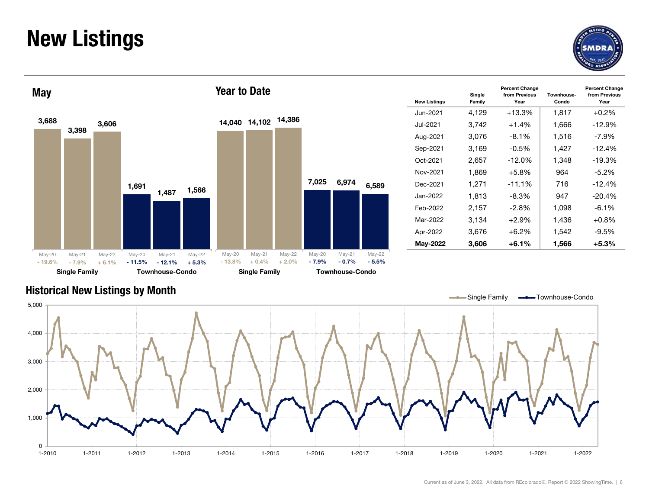## New Listings





| <b>Year to Date</b> |        |        |       |       |       | <b>New Listings</b> | Single<br>Family | <b>Percent Change</b><br>from Previous<br>Year | Townhouse-<br>Condo | <b>Percent Change</b><br>from Previous<br>Year |
|---------------------|--------|--------|-------|-------|-------|---------------------|------------------|------------------------------------------------|---------------------|------------------------------------------------|
|                     |        |        |       |       |       | Jun-2021            | 4,129            | $+13.3%$                                       | 1,817               | $+0.2%$                                        |
| 14,040              | 14,102 | 14,386 |       |       |       | Jul-2021            | 3,742            | $+1.4%$                                        | 1,666               | $-12.9%$                                       |
|                     |        |        |       |       |       | Aug-2021            | 3,076            | $-8.1%$                                        | 1,516               | $-7.9\%$                                       |
|                     |        |        |       |       |       | Sep-2021            | 3,169            | $-0.5%$                                        | 1,427               | $-12.4%$                                       |
|                     |        |        |       |       |       | Oct-2021            | 2,657            | $-12.0%$                                       | 1,348               | $-19.3%$                                       |
|                     |        |        |       |       |       | Nov-2021            | 1,869            | $+5.8\%$                                       | 964                 | $-5.2%$                                        |
|                     |        |        | 7,025 | 6,974 | 6,589 | Dec-2021            | 1,271            | $-11.1%$                                       | 716                 | $-12.4%$                                       |
|                     |        |        |       |       |       | Jan-2022            | 1,813            | $-8.3%$                                        | 947                 | $-20.4%$                                       |
|                     |        |        |       |       |       | Feb-2022            | 2,157            | $-2.8%$                                        | 1,098               | -6.1%                                          |
|                     |        |        |       |       |       | Mar-2022            | 3,134            | $+2.9%$                                        | 1,436               | $+0.8%$                                        |
|                     |        |        |       |       |       | Apr-2022            | 3,676            | $+6.2%$                                        | 1,542               | $-9.5%$                                        |
|                     |        |        |       |       |       | May-2022            | 3,606            | $+6.1%$                                        | 1,566               | $+5.3%$                                        |

### Historical New Listings by Month

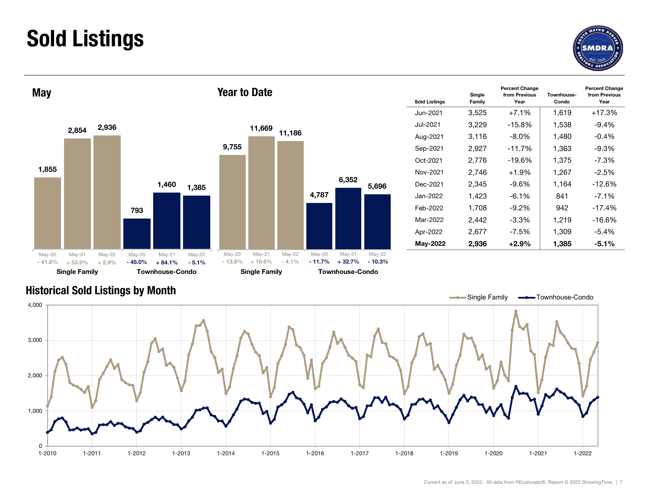## Sold Listings





| <b>Year to Date</b> |        |        |       |       |       | <b>Sold Listings</b> | Single<br>Family | <b>Percent Change</b><br>from Previous<br>Year | Townhouse-<br>Condo | <b>Percent Change</b><br>from Previous<br>Year |
|---------------------|--------|--------|-------|-------|-------|----------------------|------------------|------------------------------------------------|---------------------|------------------------------------------------|
|                     |        |        |       |       |       | Jun-2021             | 3,525            | $+7.1%$                                        | 1,619               | $+17.3%$                                       |
|                     | 11,669 |        |       |       |       | Jul-2021             | 3,229            | $-15.8%$                                       | 1,538               | $-9.4%$                                        |
|                     |        | 11,186 |       |       |       | Aug-2021             | 3,116            | $-8.0\%$                                       | 1,480               | $-0.4%$                                        |
| 9,755               |        |        |       |       |       | Sep-2021             | 2,927            | $-11.7%$                                       | 1,363               | $-9.3%$                                        |
|                     |        |        |       |       |       | Oct-2021             | 2,776            | $-19.6%$                                       | 1,375               | $-7.3%$                                        |
|                     |        |        |       |       |       | Nov-2021             | 2,746            | $+1.9%$                                        | 1,267               | $-2.5%$                                        |
|                     |        |        |       | 6,352 | 5,696 | Dec-2021             | 2,345            | $-9.6\%$                                       | 1,164               | $-12.6%$                                       |
|                     |        |        | 4,787 |       |       | Jan-2022             | 1,423            | $-6.1%$                                        | 841                 | $-7.1\%$                                       |
|                     |        |        |       |       |       | Feb-2022             | 1,708            | $-9.2%$                                        | 942                 | $-17.4%$                                       |
|                     |        |        |       |       |       | Mar-2022             | 2,442            | $-3.3%$                                        | 1,219               | $-16.6%$                                       |
|                     |        |        |       |       |       | Apr-2022             | 2,677            | $-7.5%$                                        | 1,309               | $-5.4%$                                        |
|                     |        |        |       |       |       | May-2022             | 2,936            | $+2.9%$                                        | 1,385               | $-5.1%$                                        |

### Historical Sold Listings by Month

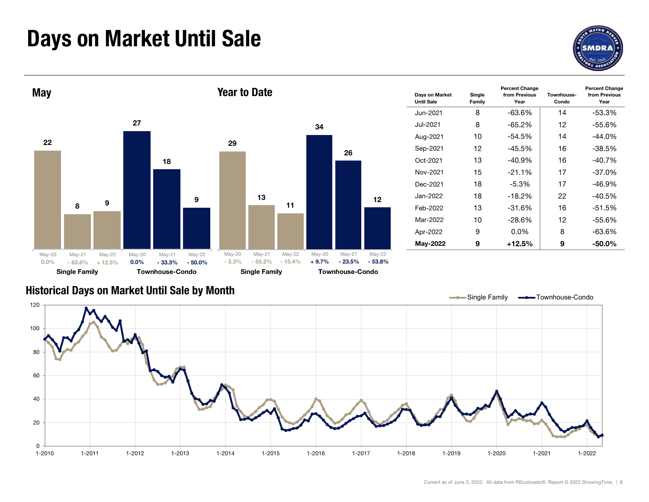# Days on Market Until Sale





### Historical Days on Market Until Sale by Month

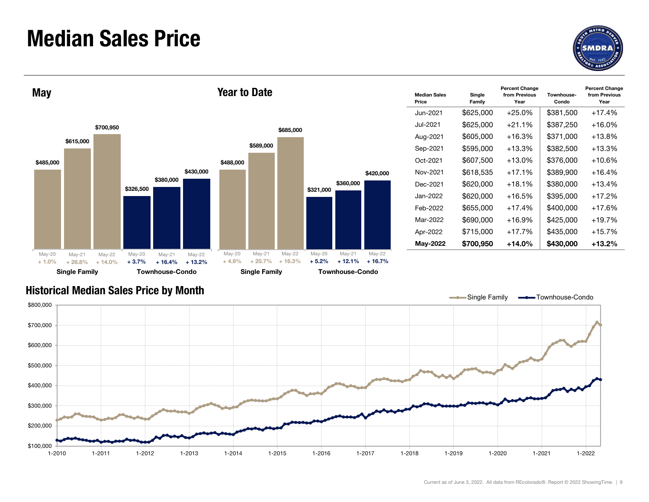## Median Sales Price





| <b>Year to Date</b> |           |           |           |           |           | <b>Median Sales</b><br>Price | Single<br>Family | <b>Percent Change</b><br>from Previous<br>Year | Townhouse-<br>Condo | <b>Percent Change</b><br>from Previous<br>Year |
|---------------------|-----------|-----------|-----------|-----------|-----------|------------------------------|------------------|------------------------------------------------|---------------------|------------------------------------------------|
|                     |           |           |           |           |           | Jun-2021                     | \$625,000        | $+25.0%$                                       | \$381,500           | $+17.4%$                                       |
|                     |           | \$685,000 |           |           |           | Jul-2021                     | \$625,000        | $+21.1%$                                       | \$387,250           | $+16.0%$                                       |
|                     |           |           |           |           |           | Aug-2021                     | \$605,000        | $+16.3%$                                       | \$371,000           | $+13.8%$                                       |
|                     | \$589,000 |           |           |           |           | Sep-2021                     | \$595,000        | $+13.3%$                                       | \$382,500           | $+13.3%$                                       |
| \$488,000           |           |           |           |           |           | Oct-2021                     | \$607,500        | $+13.0%$                                       | \$376,000           | $+10.6%$                                       |
|                     |           |           |           |           | \$420,000 | Nov-2021                     | \$618,535        | $+17.1%$                                       | \$389,900           | $+16.4%$                                       |
|                     |           |           | \$321,000 | \$360,000 |           | Dec-2021                     | \$620,000        | $+18.1%$                                       | \$380,000           | $+13.4%$                                       |
|                     |           |           |           |           |           | Jan-2022                     | \$620,000        | $+16.5%$                                       | \$395,000           | $+17.2%$                                       |
|                     |           |           |           |           |           | Feb-2022                     | \$655,000        | $+17.4%$                                       | \$400,000           | $+17.6%$                                       |
|                     |           |           |           |           |           | Mar-2022                     | \$690,000        | $+16.9%$                                       | \$425,000           | $+19.7%$                                       |
|                     |           |           |           |           |           | Apr-2022                     | \$715,000        | $+17.7%$                                       | \$435,000           | $+15.7%$                                       |
|                     |           |           |           |           |           | May-2022                     | \$700,950        | $+14.0%$                                       | \$430,000           | $+13.2%$                                       |

### Historical Median Sales Price by Month

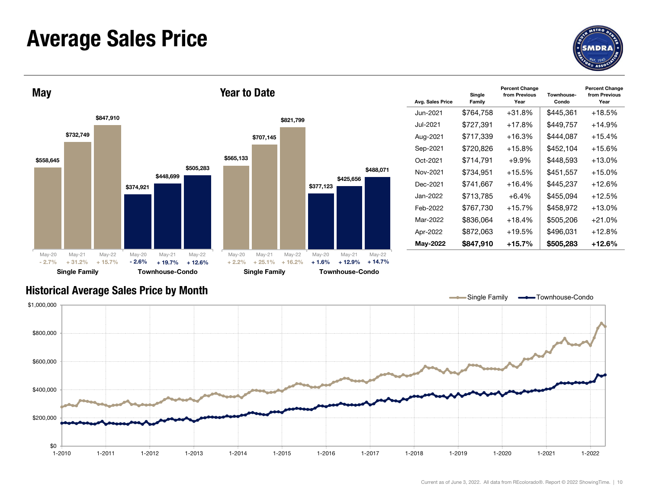## Average Sales Price





|           | <b>Year to Date</b> |           |           |           |           | Avg. Sales Price | Single<br>Family | <b>Percent Change</b><br>from Previous<br>Year | Townhouse-<br>Condo | <b>Percent Change</b><br>from Previous<br>Year |
|-----------|---------------------|-----------|-----------|-----------|-----------|------------------|------------------|------------------------------------------------|---------------------|------------------------------------------------|
|           |                     |           |           |           |           | Jun-2021         | \$764,758        | $+31.8%$                                       | \$445,361           | $+18.5%$                                       |
|           |                     | \$821,799 |           |           |           | Jul-2021         | \$727,391        | $+17.8%$                                       | \$449,757           | $+14.9%$                                       |
|           | \$707,145           |           |           |           |           | Aug-2021         | \$717,339        | $+16.3%$                                       | \$444,087           | $+15.4%$                                       |
|           |                     |           |           |           |           | Sep-2021         | \$720,826        | +15.8%                                         | \$452,104           | $+15.6%$                                       |
| \$565,133 |                     |           |           |           |           | Oct-2021         | \$714,791        | $+9.9%$                                        | \$448,593           | $+13.0%$                                       |
|           |                     |           |           |           | \$488,071 | Nov-2021         | \$734,951        | $+15.5%$                                       | \$451,557           | $+15.0%$                                       |
|           |                     |           | \$377,123 | \$425,656 |           | Dec-2021         | \$741,667        | $+16.4%$                                       | \$445,237           | $+12.6%$                                       |
|           |                     |           |           |           |           | Jan-2022         | \$713,785        | $+6.4%$                                        | \$455,094           | $+12.5%$                                       |
|           |                     |           |           |           |           | Feb-2022         | \$767,730        | $+15.7%$                                       | \$458,972           | $+13.0%$                                       |
|           |                     |           |           |           |           | Mar-2022         | \$836,064        | $+18.4%$                                       | \$505,206           | $+21.0%$                                       |
|           |                     |           |           |           |           | Apr-2022         | \$872,063        | $+19.5%$                                       | \$496,031           | $+12.8%$                                       |
|           |                     |           |           |           |           | May-2022         | \$847,910        | $+15.7%$                                       | \$505,283           | $+12.6%$                                       |

### Historical Average Sales Price by Month

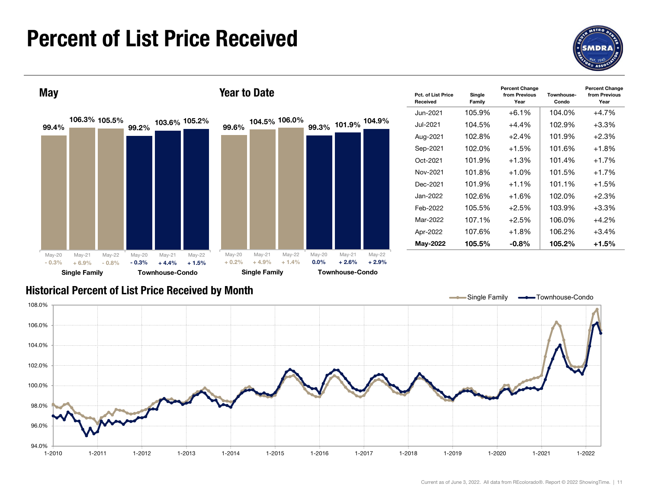## Percent of List Price Received





| Pct. of List Price<br>Received | Single<br>Family | <b>Percent Change</b><br>from Previous<br>Year | Townhouse-<br>Condo | <b>Percent Change</b><br>from Previous<br>Year |
|--------------------------------|------------------|------------------------------------------------|---------------------|------------------------------------------------|
| Jun-2021                       | 105.9%           | $+6.1%$                                        | 104.0%              | $+4.7%$                                        |
| Jul-2021.                      | 104.5%           | $+4.4%$                                        | 102.9%              | $+3.3\%$                                       |
| Aug-2021                       | 102.8%           | $+2.4%$                                        | 101.9%              | $+2.3%$                                        |
| Sep-2021                       | 102.0%           | $+1.5%$                                        | 101.6%              | $+1.8%$                                        |
| Oct-2021                       | 101.9%           | $+1.3%$                                        | 101.4%              | $+1.7%$                                        |
| Nov-2021                       | 101.8%           | $+1.0\%$                                       | 101.5%              | $+1.7%$                                        |
| Dec-2021                       | 101.9%           | $+1.1%$                                        | 101.1%              | $+1.5%$                                        |
| Jan-2022                       | 102.6%           | $+1.6%$                                        | 102.0%              | $+2.3%$                                        |
| Feb-2022                       | 105.5%           | $+2.5\%$                                       | 103.9%              | $+3.3\%$                                       |
| Mar-2022                       | 107.1%           | $+2.5%$                                        | 106.0%              | $+4.2%$                                        |
| Apr-2022                       | 107.6%           | $+1.8%$                                        | 106.2%              | $+3.4%$                                        |
| May-2022                       | 105.5%           | $-0.8\%$                                       | 105.2%              | $+1.5%$                                        |

### Historical Percent of List Price Received by Month

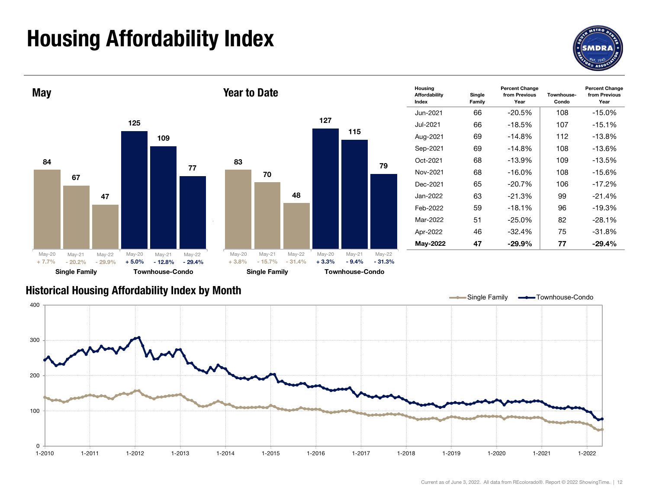# Housing Affordability Index



Year



#### Historical Housing Affordability Index by Mont h

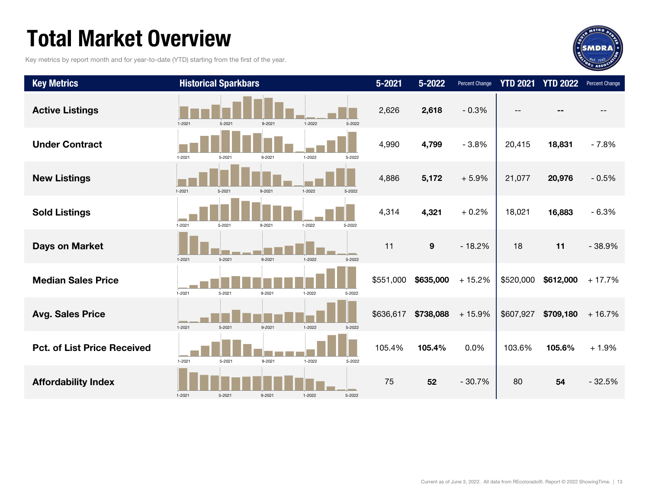# Total Market Overview

Key metrics by report month and for year-to-date (YTD) starting from the first of the year.



| <b>Key Metrics</b>                 |            | <b>Historical Sparkbars</b> |            |            |        | $5 - 2021$ | $5 - 2022$       | Percent Change | <b>YTD 2021</b> | <b>YTD 2022</b> | Percent Change |
|------------------------------------|------------|-----------------------------|------------|------------|--------|------------|------------------|----------------|-----------------|-----------------|----------------|
| <b>Active Listings</b>             | $1 - 2021$ | $5 - 2021$                  | $9 - 2021$ | 1-2022     | 5-2022 | 2,626      | 2,618            | $-0.3%$        |                 |                 |                |
| <b>Under Contract</b>              | 1-2021     | $5 - 2021$                  | $9 - 2021$ | 1-2022     | 5-2022 | 4,990      | 4,799            | $-3.8%$        | 20,415          | 18,831          | $-7.8%$        |
| <b>New Listings</b>                | $1 - 2021$ | 5-2021                      | $9 - 2021$ | $1-2022$   | 5-2022 | 4,886      | 5,172            | $+5.9%$        | 21,077          | 20,976          | $-0.5%$        |
| <b>Sold Listings</b>               | 1-2021     | $5 - 2021$                  | $9 - 2021$ | $1 - 2022$ | 5-2022 | 4,314      | 4,321            | $+0.2%$        | 18,021          | 16,883          | $-6.3%$        |
| Days on Market                     | $1 - 2021$ | $5 - 2021$                  | 9-2021     | $1 - 2022$ | 5-2022 | 11         | $\boldsymbol{9}$ | $-18.2%$       | 18              | 11              | $-38.9%$       |
| <b>Median Sales Price</b>          | 1-2021     | 5-2021                      | 9-2021     | 1-2022     | 5-2022 | \$551,000  | \$635,000        | $+15.2%$       | \$520,000       | \$612,000       | $+17.7%$       |
| <b>Avg. Sales Price</b>            | $1 - 2021$ | $5 - 2021$                  | $9 - 2021$ | $1 - 2022$ | 5-2022 | \$636,617  | \$738,088        | $+15.9%$       | \$607,927       | \$709,180       | $+16.7%$       |
| <b>Pct. of List Price Received</b> | $1 - 2021$ | 5-2021                      | 9-2021     | $1 - 2022$ | 5-2022 | 105.4%     | 105.4%           | 0.0%           | 103.6%          | 105.6%          | $+1.9%$        |
| <b>Affordability Index</b>         | $1 - 2021$ | 5-2021                      | 9-2021     | $1 - 2022$ | 5-2022 | 75         | 52               | $-30.7%$       | 80              | 54              | $-32.5%$       |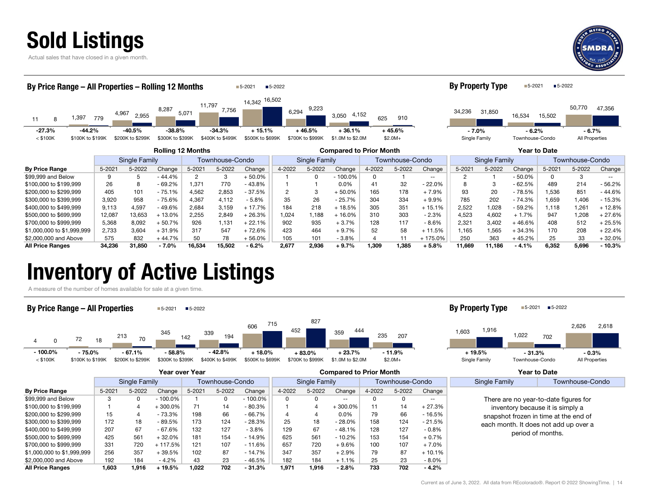



| By Price Range - All Properties - Rolling 12 Months |                                  |                  |                          |        |                  | $5 - 2021$       | ■5-2022                          |                  |                                |        |          |                                  | <b>By Property Type</b> |        | ■5-2021         | ■5-2022      |                |                   |
|-----------------------------------------------------|----------------------------------|------------------|--------------------------|--------|------------------|------------------|----------------------------------|------------------|--------------------------------|--------|----------|----------------------------------|-------------------------|--------|-----------------|--------------|----------------|-------------------|
| 1,397<br>11<br>8                                    | 779                              | 4,967<br>2,955   | 8,287                    | 5,071  | 11,797<br>7,756  | 14,342 16,502    | 6,294                            | 9,223            | 4,152<br>3,050                 | 625    | 910      |                                  | 34,236                  | 31,850 | 16,534          | 15,502       | 50,770         | 47,356            |
| $-27.3%$<br>$-44.2%$                                |                                  | $-40.5\%$        | $-38.8%$                 |        | $-34.3%$         | $+15.1%$         |                                  | $+46.5%$         | $+36.1%$                       |        | $+45.6%$ |                                  | $-7.0%$                 |        | $-6.2%$         |              | $-6.7%$        |                   |
| $<$ \$100K<br>\$100K to \$199K                      |                                  | \$200K to \$299K | \$300K to \$399K         |        | \$400K to \$499K | \$500K to \$699K |                                  | \$700K to \$999K | \$1.0M to \$2.0M               |        | $$2.0M+$ |                                  | Single Family           |        | Townhouse-Condo |              | All Properties |                   |
|                                                     |                                  |                  | <b>Rolling 12 Months</b> |        |                  |                  |                                  |                  | <b>Compared to Prior Month</b> |        |          |                                  |                         |        |                 | Year to Date |                |                   |
|                                                     | Single Family<br>Townhouse-Condo |                  |                          |        |                  |                  | Single Family<br>Townhouse-Condo |                  |                                |        |          | Townhouse-Condo<br>Single Family |                         |        |                 |              |                |                   |
| <b>By Price Range</b>                               | 5-2021                           | 5-2022           | Change                   | 5-2021 | 5-2022           | Change           | 4-2022                           | 5-2022           | Change                         | 4-2022 | 5-2022   | Change                           | 5-2021                  | 5-2022 | Change          | 5-2021       | 5-2022         | Change            |
| \$99,999 and Below                                  | 9                                | 5                | $-44.4%$                 | 2      | 3                | $+50.0%$         |                                  | $\Omega$         | $-100.0\%$                     | 0      |          | $- -$                            | 2                       |        | $-50.0%$        | $\Omega$     | 3              | $\qquad \qquad -$ |
| \$100,000 to \$199,999                              | 26                               | 8                | $-69.2%$                 | 1.371  | 770              | $-43.8%$         |                                  |                  | $0.0\%$                        | 41     | 32       | 22.0%                            |                         | 3      | $-62.5%$        | 489          | 214            | - 56.2%           |
| \$200,000 to \$299,999                              | 405                              | 101              | $-75.1%$                 | 4,562  | 2,853            | $-37.5%$         | 2                                | 3                | $+50.0%$                       | 165    | 178      | $+7.9%$                          | 93                      | 20     | $-78.5%$        | 1,536        | 851            | - 44.6%           |
| \$300,000 to \$399,999                              | 3,920                            | 958              | $-75.6%$                 | 4,367  | 4,112            | $-5.8%$          | 35                               | 26               | $-25.7%$                       | 304    | 334      | $+9.9%$                          | 785                     | 202    | $-74.3%$        | 1,659        | 1,406          | - 15.3%           |
| \$400,000 to \$499,999                              | 9,113                            | 4,597            | -49.6%                   | 2,684  | 3,159            | $+17.7%$         | 184                              | 218              | $+18.5%$                       | 305    | 351      | $+15.1%$                         | 2,522                   | 1,028  | $-59.2%$        | 1,118        | 1,261          | $+12.8%$          |
| \$500,000 to \$699,999                              | 12,087                           | 13,653           | $+13.0%$                 | 2,255  | 2,849            | $+26.3%$         | 1,024                            | 1,188            | $+16.0%$                       | 310    | 303      | $-2.3%$                          | 4,523                   | 4,602  | $+1.7%$         | 947          | 1,208          | $+27.6%$          |
| \$700,000 to \$999,999                              | 5,368                            | 8,092            | $-50.7%$                 | 926    | 1.131            | $+22.1%$         | 902                              | 935              | $+3.7%$                        | 128    | 117      | $-8.6%$                          | 2,321                   | 3,402  | $+46.6%$        | 408          | 512            | $+25.5%$          |
| \$1,000,000 to \$1,999,999                          | 2,733                            | 3,604            | $+31.9%$                 | 317    | 547              | $+72.6%$         | 423                              | 464              | $+9.7%$                        | 52     | 58       | $+11.5%$                         | 1.165                   | 1,565  | $+34.3%$        | 170          | 208            | $+22.4%$          |
| \$2,000,000 and Above                               | 575                              | 832              | $+44.7%$                 | 50     | 78               | $+56.0%$         | 105                              | 101              | $-3.8%$                        |        | 11       | + 175.0%                         | 250                     | 363    | $+45.2%$        | 25           | 33             | $+32.0%$          |
| <b>All Price Ranges</b>                             | 34,236                           | 31,850           | $-7.0%$                  | 16,534 | 15,502           | $-6.2%$          | 2,677                            | 2,936            | $+9.7%$                        | 1,309  | 1,385    | $+5.8%$                          | 11,669                  | 11,186 | $-4.1%$         | 6,352        | 5,696          | $-10.3%$          |

## Inventory of Active Listings

A measure of the number of homes available for sale at a given time.



|                            |        |               |          |            |                 |            | <b>POTTDATED TO THE MUTTER</b> |               |           |        |                 | סטו נט בענט |                                                                                |                                  |
|----------------------------|--------|---------------|----------|------------|-----------------|------------|--------------------------------|---------------|-----------|--------|-----------------|-------------|--------------------------------------------------------------------------------|----------------------------------|
|                            |        | Single Family |          |            | Townhouse-Condo |            |                                | Single Family |           |        | Townhouse-Condo |             | Single Family                                                                  | Townhouse-Condo                  |
| <b>By Price Range</b>      | 5-2021 | 5-2022        | Change   | $5 - 2021$ | 5-2022          | Change     | 4-2022                         | 5-2022        | Change    | 4-2022 | 5-2022          | Change      |                                                                                |                                  |
| \$99,999 and Below         |        | 0             | - 100.0% |            |                 | $-100.0\%$ | 0                              | 0             | $- -$     |        |                 | $- -$       | There are no year-to-date figures for                                          |                                  |
| \$100,000 to \$199,999     |        | 4             | 300.0%   | 71         | 14              | $-80.3%$   |                                |               | $+300.0%$ | 11     | 14              | $+27.3%$    |                                                                                | inventory because it is simply a |
| \$200,000 to \$299,999     | 15     |               | $-73.3%$ | 198        | 66              | $-66.7%$   |                                |               | 0.0%      | 79     | 66              | - 16.5%     | snapshot frozen in time at the end of<br>each month. It does not add up over a |                                  |
| \$300,000 to \$399,999     | 172    | 18            | - 89.5%  | 173        | 124             | $-28.3%$   | 25                             | 18            | $-28.0%$  | 158    | 124             | - 21.5%     |                                                                                |                                  |
| \$400,000 to \$499,999     | 207    | 67            | $-67.6%$ | 132        | 127             | $-3.8%$    | 129                            | 67            | $-48.1%$  | 128    | 127             | $-0.8%$     | period of months.                                                              |                                  |
| \$500,000 to \$699,999     | 425    | 561           | $+32.0%$ | 181        | 154             | $-14.9%$   | 625                            | 561           | $-10.2%$  | 153    | 154             | $+0.7%$     |                                                                                |                                  |
| \$700,000 to \$999,999     | 331    | 720           | 117.5%   | 121        | 107             | $-11.6%$   | 657                            | 720           | $+9.6%$   | 100    | 107             | $+7.0%$     |                                                                                |                                  |
| \$1,000,000 to \$1,999,999 | 256    | 357           | $+39.5%$ | 102        | 87              | $-14.7%$   | 347                            | 357           | $+2.9%$   | 79     | 87              | $+10.1%$    |                                                                                |                                  |
| \$2,000,000 and Above      | 192    | 184           | - 4.2%   | 43         | 23              | - 46.5%    | 182                            | 184           | $+1.1\%$  | 25     | 23              | $-8.0\%$    |                                                                                |                                  |
| <b>All Price Ranges</b>    | 1,603  | 1,916         | $+19.5%$ | 1.022      | 702             | $-31.3%$   | 1.971                          | 1.916         | $-2.8%$   | 733    | 702             | $-4.2%$     |                                                                                |                                  |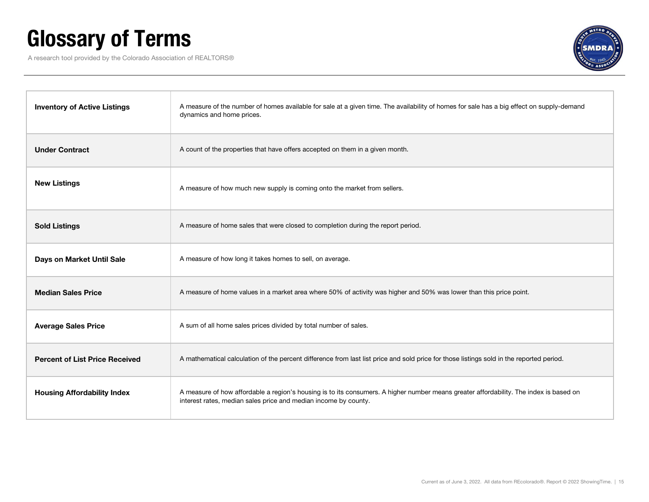# Glossary of Terms

A research tool provided by the Colorado Association of REALTORS®



| <b>Inventory of Active Listings</b>   | A measure of the number of homes available for sale at a given time. The availability of homes for sale has a big effect on supply-demand<br>dynamics and home prices.                                    |
|---------------------------------------|-----------------------------------------------------------------------------------------------------------------------------------------------------------------------------------------------------------|
| <b>Under Contract</b>                 | A count of the properties that have offers accepted on them in a given month.                                                                                                                             |
| <b>New Listings</b>                   | A measure of how much new supply is coming onto the market from sellers.                                                                                                                                  |
| <b>Sold Listings</b>                  | A measure of home sales that were closed to completion during the report period.                                                                                                                          |
| Days on Market Until Sale             | A measure of how long it takes homes to sell, on average.                                                                                                                                                 |
| <b>Median Sales Price</b>             | A measure of home values in a market area where 50% of activity was higher and 50% was lower than this price point.                                                                                       |
| <b>Average Sales Price</b>            | A sum of all home sales prices divided by total number of sales.                                                                                                                                          |
| <b>Percent of List Price Received</b> | A mathematical calculation of the percent difference from last list price and sold price for those listings sold in the reported period.                                                                  |
| <b>Housing Affordability Index</b>    | A measure of how affordable a region's housing is to its consumers. A higher number means greater affordability. The index is based on<br>interest rates, median sales price and median income by county. |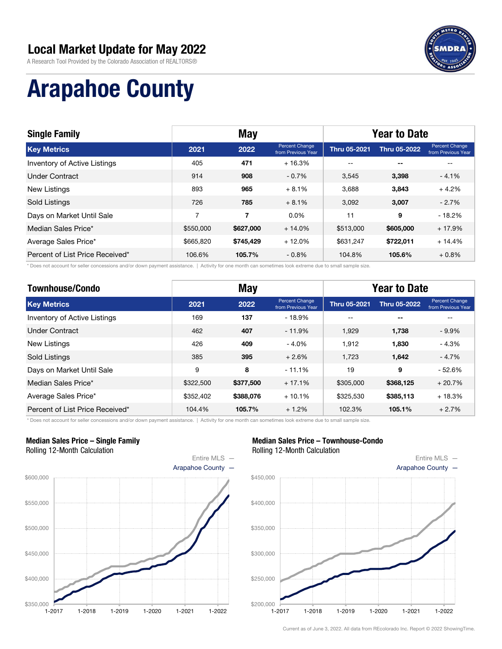

A Research Tool Provided by the Colorado Association of REALTORS®

# Arapahoe County

| <b>Single Family</b>            |                | <b>May</b> |                                      |                     | <b>Year to Date</b>      |                                             |  |  |
|---------------------------------|----------------|------------|--------------------------------------|---------------------|--------------------------|---------------------------------------------|--|--|
| <b>Key Metrics</b>              | 2021           | 2022       | Percent Change<br>from Previous Year | <b>Thru 05-2021</b> | <b>Thru 05-2022</b>      | <b>Percent Change</b><br>from Previous Year |  |  |
| Inventory of Active Listings    | 405            | 471        | $+16.3%$                             | $- -$               | $\overline{\phantom{a}}$ |                                             |  |  |
| <b>Under Contract</b>           | 914            | 908        | $-0.7\%$                             | 3.545               | 3,398                    | $-4.1%$                                     |  |  |
| New Listings                    | 893            | 965        | $+8.1%$                              | 3.688               | 3.843                    | $+4.2%$                                     |  |  |
| Sold Listings                   | 726            | 785        | $+8.1%$                              | 3.092               | 3,007                    | $-2.7%$                                     |  |  |
| Days on Market Until Sale       | $\overline{7}$ | 7          | $0.0\%$                              | 11                  | 9                        | $-18.2%$                                    |  |  |
| Median Sales Price*             | \$550,000      | \$627,000  | $+14.0%$                             | \$513,000           | \$605,000                | $+17.9%$                                    |  |  |
| Average Sales Price*            | \$665,820      | \$745,429  | $+12.0%$                             | \$631.247           | \$722,011                | $+14.4%$                                    |  |  |
| Percent of List Price Received* | 106.6%         | 105.7%     | $-0.8%$                              | 104.8%              | 105.6%                   | $+0.8\%$                                    |  |  |

\* Does not account for seller concessions and/or down payment assistance. | Activity for one month can sometimes look extreme due to small sample size.

| <b>Townhouse/Condo</b>          |           | <b>May</b> |                                      | <b>Year to Date</b> |                     |                                      |
|---------------------------------|-----------|------------|--------------------------------------|---------------------|---------------------|--------------------------------------|
| <b>Key Metrics</b>              | 2021      | 2022       | Percent Change<br>from Previous Year | <b>Thru 05-2021</b> | <b>Thru 05-2022</b> | Percent Change<br>from Previous Year |
| Inventory of Active Listings    | 169       | 137        | $-18.9%$                             | $- -$               | $-$                 | --                                   |
| <b>Under Contract</b>           | 462       | 407        | $-11.9%$                             | 1.929               | 1,738               | $-9.9\%$                             |
| New Listings                    | 426       | 409        | $-4.0%$                              | 1.912               | 1.830               | $-4.3%$                              |
| <b>Sold Listings</b>            | 385       | 395        | $+2.6%$                              | 1.723               | 1,642               | $-4.7%$                              |
| Days on Market Until Sale       | 9         | 8          | $-11.1%$                             | 19                  | 9                   | $-52.6%$                             |
| Median Sales Price*             | \$322,500 | \$377,500  | $+17.1%$                             | \$305,000           | \$368,125           | $+20.7%$                             |
| Average Sales Price*            | \$352,402 | \$388,076  | $+10.1%$                             | \$325,530           | \$385,113           | $+18.3%$                             |
| Percent of List Price Received* | 104.4%    | 105.7%     | $+1.2%$                              | 102.3%              | 105.1%              | $+2.7%$                              |

\* Does not account for seller concessions and/or down payment assistance. | Activity for one month can sometimes look extreme due to small sample size.

#### Median Sales Price – Single Family Rolling 12-Month Calculation



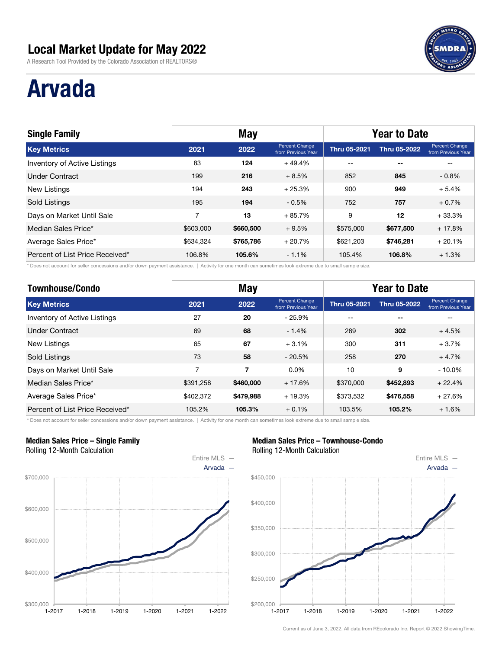A Research Tool Provided by the Colorado Association of REALTORS®

# Arvada

| <b>Single Family</b>                |                | <b>May</b> |                                      |                     | <b>Year to Date</b> |                                             |  |  |
|-------------------------------------|----------------|------------|--------------------------------------|---------------------|---------------------|---------------------------------------------|--|--|
| <b>Key Metrics</b>                  | 2021           | 2022       | Percent Change<br>from Previous Year | <b>Thru 05-2021</b> | <b>Thru 05-2022</b> | <b>Percent Change</b><br>from Previous Year |  |  |
| <b>Inventory of Active Listings</b> | 83             | 124        | $+49.4%$                             | $- -$               | $- -$               |                                             |  |  |
| <b>Under Contract</b>               | 199            | 216        | $+8.5%$                              | 852                 | 845                 | $-0.8%$                                     |  |  |
| New Listings                        | 194            | 243        | $+25.3%$                             | 900                 | 949                 | $+5.4%$                                     |  |  |
| Sold Listings                       | 195            | 194        | $-0.5\%$                             | 752                 | 757                 | $+0.7\%$                                    |  |  |
| Days on Market Until Sale           | $\overline{7}$ | 13         | $+85.7%$                             | 9                   | 12                  | $+33.3%$                                    |  |  |
| Median Sales Price*                 | \$603,000      | \$660,500  | $+9.5%$                              | \$575,000           | \$677,500           | $+17.8%$                                    |  |  |
| Average Sales Price*                | \$634,324      | \$765,786  | $+20.7%$                             | \$621,203           | \$746,281           | $+20.1%$                                    |  |  |
| Percent of List Price Received*     | 106.8%         | 105.6%     | $-1.1%$                              | 105.4%              | 106.8%              | $+1.3%$                                     |  |  |

\* Does not account for seller concessions and/or down payment assistance. | Activity for one month can sometimes look extreme due to small sample size.

| <b>Townhouse/Condo</b>          |           | <b>May</b> |                                      | <b>Year to Date</b> |                     |                                      |
|---------------------------------|-----------|------------|--------------------------------------|---------------------|---------------------|--------------------------------------|
| <b>Key Metrics</b>              | 2021      | 2022       | Percent Change<br>from Previous Year | <b>Thru 05-2021</b> | <b>Thru 05-2022</b> | Percent Change<br>from Previous Year |
| Inventory of Active Listings    | 27        | 20         | $-25.9%$                             | $- -$               | $- -$               |                                      |
| <b>Under Contract</b>           | 69        | 68         | $-1.4%$                              | 289                 | 302                 | $+4.5%$                              |
| <b>New Listings</b>             | 65        | 67         | $+3.1%$                              | 300                 | 311                 | $+3.7%$                              |
| <b>Sold Listings</b>            | 73        | 58         | $-20.5%$                             | 258                 | 270                 | $+4.7%$                              |
| Days on Market Until Sale       | 7         | 7          | $0.0\%$                              | 10                  | 9                   | $-10.0%$                             |
| Median Sales Price*             | \$391.258 | \$460,000  | $+17.6%$                             | \$370,000           | \$452,893           | $+22.4%$                             |
| Average Sales Price*            | \$402,372 | \$479,988  | $+19.3%$                             | \$373,532           | \$476,558           | $+27.6%$                             |
| Percent of List Price Received* | 105.2%    | 105.3%     | $+0.1\%$                             | 103.5%              | 105.2%              | $+1.6%$                              |

\* Does not account for seller concessions and/or down payment assistance. | Activity for one month can sometimes look extreme due to small sample size.

#### Median Sales Price – Single Family Rolling 12-Month Calculation



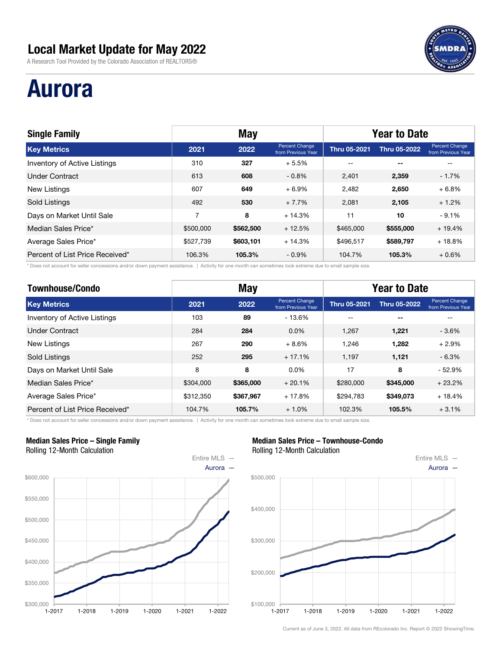A Research Tool Provided by the Colorado Association of REALTORS®

# Aurora

| <b>Single Family</b>                |                | <b>May</b> |                                      | <b>Year to Date</b> |                     |                                             |
|-------------------------------------|----------------|------------|--------------------------------------|---------------------|---------------------|---------------------------------------------|
| <b>Key Metrics</b>                  | 2021           | 2022       | Percent Change<br>from Previous Year | <b>Thru 05-2021</b> | <b>Thru 05-2022</b> | <b>Percent Change</b><br>from Previous Year |
| <b>Inventory of Active Listings</b> | 310            | 327        | $+5.5%$                              | $- -$               | $- -$               |                                             |
| <b>Under Contract</b>               | 613            | 608        | $-0.8\%$                             | 2.401               | 2,359               | $-1.7%$                                     |
| <b>New Listings</b>                 | 607            | 649        | $+6.9%$                              | 2.482               | 2,650               | $+6.8\%$                                    |
| Sold Listings                       | 492            | 530        | $+7.7%$                              | 2,081               | 2,105               | $+1.2%$                                     |
| Days on Market Until Sale           | $\overline{7}$ | 8          | $+14.3%$                             | 11                  | 10                  | $-9.1%$                                     |
| Median Sales Price*                 | \$500,000      | \$562,500  | $+12.5%$                             | \$465,000           | \$555,000           | $+19.4%$                                    |
| Average Sales Price*                | \$527,739      | \$603,101  | $+14.3%$                             | \$496,517           | \$589,797           | $+18.8%$                                    |
| Percent of List Price Received*     | 106.3%         | 105.3%     | $-0.9%$                              | 104.7%              | 105.3%              | $+0.6%$                                     |

\* Does not account for seller concessions and/or down payment assistance. | Activity for one month can sometimes look extreme due to small sample size.

| <b>Townhouse/Condo</b>          |           | <b>May</b> |                                      | <b>Year to Date</b> |                     |                                      |
|---------------------------------|-----------|------------|--------------------------------------|---------------------|---------------------|--------------------------------------|
| <b>Key Metrics</b>              | 2021      | 2022       | Percent Change<br>from Previous Year | <b>Thru 05-2021</b> | <b>Thru 05-2022</b> | Percent Change<br>from Previous Year |
| Inventory of Active Listings    | 103       | 89         | $-13.6%$                             | --                  | $-$                 |                                      |
| <b>Under Contract</b>           | 284       | 284        | $0.0\%$                              | 1.267               | 1.221               | $-3.6%$                              |
| New Listings                    | 267       | 290        | $+8.6%$                              | 1.246               | 1.282               | $+2.9%$                              |
| Sold Listings                   | 252       | 295        | $+17.1%$                             | 1,197               | 1,121               | $-6.3%$                              |
| Days on Market Until Sale       | 8         | 8          | $0.0\%$                              | 17                  | 8                   | $-52.9%$                             |
| Median Sales Price*             | \$304,000 | \$365,000  | $+20.1%$                             | \$280,000           | \$345,000           | $+23.2%$                             |
| Average Sales Price*            | \$312,350 | \$367,967  | $+17.8%$                             | \$294.783           | \$349,073           | $+18.4%$                             |
| Percent of List Price Received* | 104.7%    | 105.7%     | $+1.0%$                              | 102.3%              | 105.5%              | $+3.1%$                              |

\* Does not account for seller concessions and/or down payment assistance. | Activity for one month can sometimes look extreme due to small sample size.

#### Median Sales Price – Single Family Rolling 12-Month Calculation



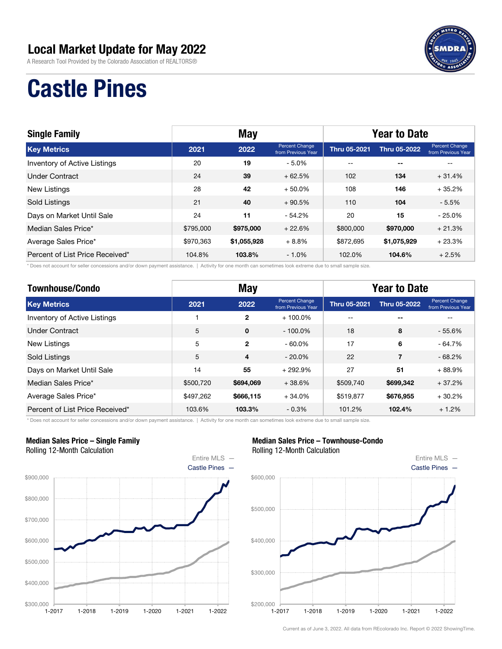A Research Tool Provided by the Colorado Association of REALTORS®



# Castle Pines

| <b>Single Family</b>            |           | <b>May</b>  |                                      |                     | <b>Year to Date</b>      |                                      |  |  |
|---------------------------------|-----------|-------------|--------------------------------------|---------------------|--------------------------|--------------------------------------|--|--|
| <b>Key Metrics</b>              | 2021      | 2022        | Percent Change<br>from Previous Year | <b>Thru 05-2021</b> | <b>Thru 05-2022</b>      | Percent Change<br>from Previous Year |  |  |
| Inventory of Active Listings    | 20        | 19          | $-5.0%$                              | $- -$               | $\overline{\phantom{a}}$ |                                      |  |  |
| Under Contract                  | 24        | 39          | $+62.5%$                             | 102                 | 134                      | $+31.4%$                             |  |  |
| <b>New Listings</b>             | 28        | 42          | $+50.0\%$                            | 108                 | 146                      | $+35.2%$                             |  |  |
| Sold Listings                   | 21        | 40          | $+90.5%$                             | 110                 | 104                      | $-5.5%$                              |  |  |
| Days on Market Until Sale       | 24        | 11          | $-54.2%$                             | 20                  | 15                       | $-25.0%$                             |  |  |
| Median Sales Price*             | \$795,000 | \$975,000   | $+22.6%$                             | \$800,000           | \$970,000                | $+21.3%$                             |  |  |
| Average Sales Price*            | \$970,363 | \$1,055,928 | $+8.8%$                              | \$872,695           | \$1,075,929              | $+23.3%$                             |  |  |
| Percent of List Price Received* | 104.8%    | 103.8%      | $-1.0%$                              | 102.0%              | 104.6%                   | $+2.5%$                              |  |  |

\* Does not account for seller concessions and/or down payment assistance. | Activity for one month can sometimes look extreme due to small sample size.

| <b>Townhouse/Condo</b>              |           | <b>May</b>     |                                      | <b>Year to Date</b> |                     |                                      |
|-------------------------------------|-----------|----------------|--------------------------------------|---------------------|---------------------|--------------------------------------|
| <b>Key Metrics</b>                  | 2021      | 2022           | Percent Change<br>from Previous Year | <b>Thru 05-2021</b> | <b>Thru 05-2022</b> | Percent Change<br>from Previous Year |
| <b>Inventory of Active Listings</b> |           | $\mathbf{2}$   | $+100.0\%$                           | --                  | --                  |                                      |
| Under Contract                      | 5         | $\mathbf 0$    | $-100.0\%$                           | 18                  | 8                   | $-55.6%$                             |
| <b>New Listings</b>                 | 5         | $\mathbf{2}$   | $-60.0\%$                            | 17                  | 6                   | $-64.7%$                             |
| Sold Listings                       | 5         | $\overline{4}$ | $-20.0\%$                            | 22                  | 7                   | $-68.2%$                             |
| Days on Market Until Sale           | 14        | 55             | $+292.9%$                            | 27                  | 51                  | $+88.9%$                             |
| Median Sales Price*                 | \$500.720 | \$694,069      | $+38.6%$                             | \$509.740           | \$699,342           | $+37.2%$                             |
| Average Sales Price*                | \$497,262 | \$666,115      | $+34.0%$                             | \$519,877           | \$676,955           | $+30.2%$                             |
| Percent of List Price Received*     | 103.6%    | 103.3%         | $-0.3\%$                             | 101.2%              | 102.4%              | $+1.2%$                              |

\* Does not account for seller concessions and/or down payment assistance. | Activity for one month can sometimes look extreme due to small sample size.

#### Median Sales Price – Single Family Rolling 12-Month Calculation



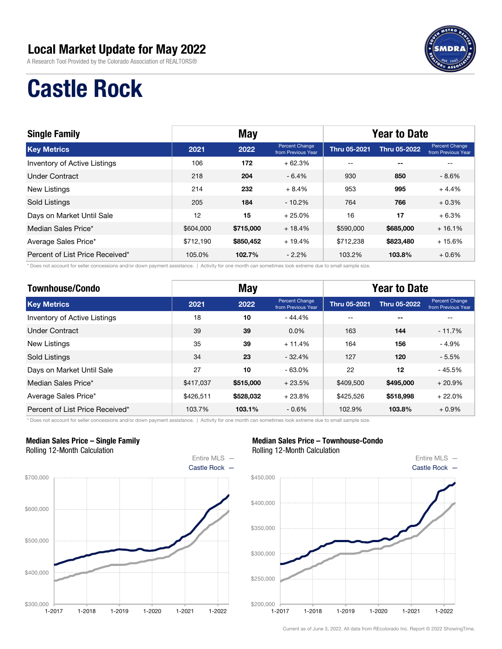A Research Tool Provided by the Colorado Association of REALTORS®



# Castle Rock

| <b>Single Family</b>            |           | <b>May</b> |                                      | <b>Year to Date</b> |                          |                                      |  |
|---------------------------------|-----------|------------|--------------------------------------|---------------------|--------------------------|--------------------------------------|--|
| <b>Key Metrics</b>              | 2021      | 2022       | Percent Change<br>from Previous Year | <b>Thru 05-2021</b> | <b>Thru 05-2022</b>      | Percent Change<br>from Previous Year |  |
| Inventory of Active Listings    | 106       | 172        | $+62.3%$                             | $- -$               | $\overline{\phantom{a}}$ |                                      |  |
| <b>Under Contract</b>           | 218       | 204        | $-6.4%$                              | 930                 | 850                      | $-8.6%$                              |  |
| New Listings                    | 214       | 232        | $+8.4%$                              | 953                 | 995                      | $+4.4%$                              |  |
| Sold Listings                   | 205       | 184        | $-10.2\%$                            | 764                 | 766                      | $+0.3%$                              |  |
| Days on Market Until Sale       | 12        | 15         | $+25.0%$                             | 16                  | 17                       | $+6.3%$                              |  |
| Median Sales Price*             | \$604,000 | \$715,000  | $+18.4%$                             | \$590,000           | \$685,000                | $+16.1%$                             |  |
| Average Sales Price*            | \$712.190 | \$850,452  | $+19.4%$                             | \$712.238           | \$823,480                | $+15.6%$                             |  |
| Percent of List Price Received* | 105.0%    | 102.7%     | $-2.2\%$                             | 103.2%              | 103.8%                   | $+0.6\%$                             |  |

\* Does not account for seller concessions and/or down payment assistance. | Activity for one month can sometimes look extreme due to small sample size.

| <b>Townhouse/Condo</b>          |           | <b>May</b> |                                      | <b>Year to Date</b> |                     |                                      |
|---------------------------------|-----------|------------|--------------------------------------|---------------------|---------------------|--------------------------------------|
| <b>Key Metrics</b>              | 2021      | 2022       | Percent Change<br>from Previous Year | <b>Thru 05-2021</b> | <b>Thru 05-2022</b> | Percent Change<br>from Previous Year |
| Inventory of Active Listings    | 18        | 10         | $-44.4%$                             | $- -$               | $-$                 | --                                   |
| <b>Under Contract</b>           | 39        | 39         | $0.0\%$                              | 163                 | 144                 | $-11.7%$                             |
| <b>New Listings</b>             | 35        | 39         | $+11.4%$                             | 164                 | 156                 | $-4.9%$                              |
| <b>Sold Listings</b>            | 34        | 23         | $-32.4%$                             | 127                 | 120                 | $-5.5%$                              |
| Days on Market Until Sale       | 27        | 10         | $-63.0%$                             | 22                  | 12                  | $-45.5%$                             |
| Median Sales Price*             | \$417,037 | \$515,000  | $+23.5%$                             | \$409,500           | \$495,000           | $+20.9%$                             |
| Average Sales Price*            | \$426,511 | \$528,032  | $+23.8%$                             | \$425,526           | \$518,998           | $+22.0%$                             |
| Percent of List Price Received* | 103.7%    | 103.1%     | $-0.6\%$                             | 102.9%              | 103.8%              | $+0.9\%$                             |

\* Does not account for seller concessions and/or down payment assistance. | Activity for one month can sometimes look extreme due to small sample size.

#### Median Sales Price – Single Family Rolling 12-Month Calculation



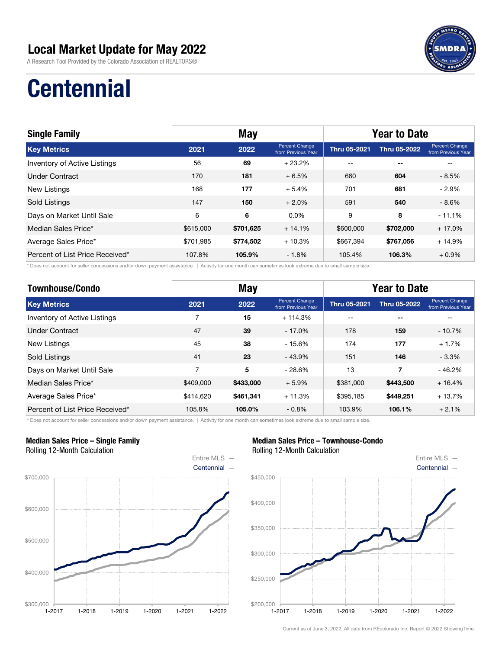A Research Tool Provided by the Colorado Association of REALTORS®



# **Centennial**

| <b>Single Family</b>            | <b>May</b> |           |                                      | <b>Year to Date</b> |                          |                                             |
|---------------------------------|------------|-----------|--------------------------------------|---------------------|--------------------------|---------------------------------------------|
| <b>Key Metrics</b>              | 2021       | 2022      | Percent Change<br>from Previous Year | <b>Thru 05-2021</b> | <b>Thru 05-2022</b>      | <b>Percent Change</b><br>from Previous Year |
| Inventory of Active Listings    | 56         | 69        | $+23.2%$                             | $- -$               | $\overline{\phantom{a}}$ |                                             |
| Under Contract                  | 170        | 181       | $+6.5%$                              | 660                 | 604                      | $-8.5%$                                     |
| <b>New Listings</b>             | 168        | 177       | $+5.4%$                              | 701                 | 681                      | $-2.9%$                                     |
| Sold Listings                   | 147        | 150       | $+2.0%$                              | 591                 | 540                      | $-8.6%$                                     |
| Days on Market Until Sale       | 6          | 6         | $0.0\%$                              | 9                   | 8                        | $-11.1%$                                    |
| Median Sales Price*             | \$615,000  | \$701,625 | $+14.1%$                             | \$600,000           | \$702,000                | $+17.0%$                                    |
| Average Sales Price*            | \$701.985  | \$774,502 | $+10.3%$                             | \$667,394           | \$767,056                | $+14.9%$                                    |
| Percent of List Price Received* | 107.8%     | 105.9%    | $-1.8%$                              | 105.4%              | 106.3%                   | $+0.9%$                                     |

\* Does not account for seller concessions and/or down payment assistance. | Activity for one month can sometimes look extreme due to small sample size.

| <b>Townhouse/Condo</b>              | <b>May</b> |           |                                      | <b>Year to Date</b> |                     |                                      |
|-------------------------------------|------------|-----------|--------------------------------------|---------------------|---------------------|--------------------------------------|
| <b>Key Metrics</b>                  | 2021       | 2022      | Percent Change<br>from Previous Year | <b>Thru 05-2021</b> | <b>Thru 05-2022</b> | Percent Change<br>from Previous Year |
| <b>Inventory of Active Listings</b> | 7          | 15        | $+114.3%$                            | --                  | $- -$               |                                      |
| Under Contract                      | 47         | 39        | $-17.0%$                             | 178                 | 159                 | $-10.7%$                             |
| <b>New Listings</b>                 | 45         | 38        | $-15.6%$                             | 174                 | 177                 | $+1.7%$                              |
| Sold Listings                       | 41         | 23        | $-43.9%$                             | 151                 | 146                 | $-3.3%$                              |
| Days on Market Until Sale           | 7          | 5         | $-28.6%$                             | 13                  | 7                   | $-46.2%$                             |
| Median Sales Price*                 | \$409,000  | \$433,000 | $+5.9%$                              | \$381,000           | \$443,500           | $+16.4%$                             |
| Average Sales Price*                | \$414,620  | \$461,341 | $+11.3%$                             | \$395,185           | \$449,251           | $+13.7%$                             |
| Percent of List Price Received*     | 105.8%     | 105.0%    | $-0.8\%$                             | 103.9%              | 106.1%              | $+2.1%$                              |

\* Does not account for seller concessions and/or down payment assistance. | Activity for one month can sometimes look extreme due to small sample size.

#### Median Sales Price – Single Family Rolling 12-Month Calculation



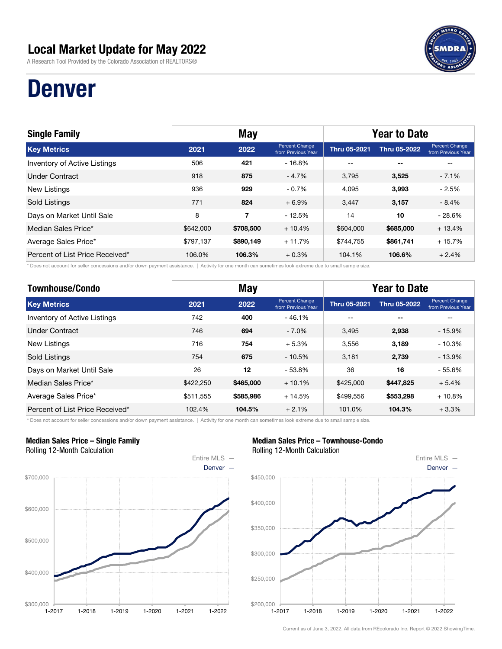A Research Tool Provided by the Colorado Association of REALTORS®

## Denver

| <b>Single Family</b>            | <b>May</b> |           |                                      | <b>Year to Date</b> |                          |                                             |
|---------------------------------|------------|-----------|--------------------------------------|---------------------|--------------------------|---------------------------------------------|
| <b>Key Metrics</b>              | 2021       | 2022      | Percent Change<br>from Previous Year | <b>Thru 05-2021</b> | <b>Thru 05-2022</b>      | <b>Percent Change</b><br>from Previous Year |
| Inventory of Active Listings    | 506        | 421       | $-16.8%$                             | $- -$               | $\overline{\phantom{a}}$ |                                             |
| <b>Under Contract</b>           | 918        | 875       | $-4.7%$                              | 3.795               | 3,525                    | $-7.1%$                                     |
| <b>New Listings</b>             | 936        | 929       | $-0.7%$                              | 4.095               | 3,993                    | $-2.5%$                                     |
| Sold Listings                   | 771        | 824       | $+6.9%$                              | 3,447               | 3,157                    | $-8.4%$                                     |
| Days on Market Until Sale       | 8          | 7         | $-12.5%$                             | 14                  | 10                       | $-28.6%$                                    |
| Median Sales Price*             | \$642,000  | \$708,500 | $+10.4%$                             | \$604,000           | \$685,000                | $+13.4%$                                    |
| Average Sales Price*            | \$797,137  | \$890,149 | $+11.7%$                             | \$744.755           | \$861,741                | $+15.7%$                                    |
| Percent of List Price Received* | 106.0%     | 106.3%    | $+0.3%$                              | 104.1%              | 106.6%                   | $+2.4%$                                     |

\* Does not account for seller concessions and/or down payment assistance. | Activity for one month can sometimes look extreme due to small sample size.

| <b>Townhouse/Condo</b>          | <b>May</b> |           |                                      | <b>Year to Date</b> |                     |                                      |
|---------------------------------|------------|-----------|--------------------------------------|---------------------|---------------------|--------------------------------------|
| <b>Key Metrics</b>              | 2021       | 2022      | Percent Change<br>from Previous Year | <b>Thru 05-2021</b> | <b>Thru 05-2022</b> | Percent Change<br>from Previous Year |
| Inventory of Active Listings    | 742        | 400       | $-46.1%$                             | $- -$               | $-$                 | --                                   |
| <b>Under Contract</b>           | 746        | 694       | $-7.0%$                              | 3.495               | 2,938               | $-15.9%$                             |
| New Listings                    | 716        | 754       | $+5.3%$                              | 3.556               | 3,189               | $-10.3%$                             |
| <b>Sold Listings</b>            | 754        | 675       | $-10.5%$                             | 3.181               | 2,739               | $-13.9%$                             |
| Days on Market Until Sale       | 26         | 12        | $-53.8%$                             | 36                  | 16                  | $-55.6%$                             |
| Median Sales Price*             | \$422,250  | \$465,000 | $+10.1%$                             | \$425,000           | \$447,825           | $+5.4%$                              |
| Average Sales Price*            | \$511.555  | \$585,986 | $+14.5%$                             | \$499.556           | \$553,298           | $+10.8%$                             |
| Percent of List Price Received* | 102.4%     | 104.5%    | $+2.1%$                              | 101.0%              | 104.3%              | $+3.3%$                              |

\* Does not account for seller concessions and/or down payment assistance. | Activity for one month can sometimes look extreme due to small sample size.

#### Median Sales Price – Single Family Rolling 12-Month Calculation



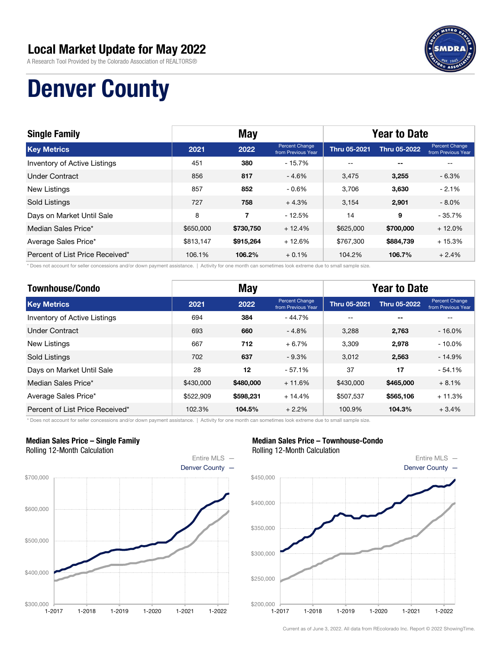

A Research Tool Provided by the Colorado Association of REALTORS®

# Denver County

| <b>Single Family</b>            | <b>May</b> |           |                                      | <b>Year to Date</b> |                          |                                      |
|---------------------------------|------------|-----------|--------------------------------------|---------------------|--------------------------|--------------------------------------|
| <b>Key Metrics</b>              | 2021       | 2022      | Percent Change<br>from Previous Year | <b>Thru 05-2021</b> | <b>Thru 05-2022</b>      | Percent Change<br>from Previous Year |
| Inventory of Active Listings    | 451        | 380       | $-15.7%$                             | $- -$               | $\overline{\phantom{a}}$ |                                      |
| <b>Under Contract</b>           | 856        | 817       | $-4.6%$                              | 3,475               | 3,255                    | $-6.3%$                              |
| New Listings                    | 857        | 852       | $-0.6%$                              | 3,706               | 3,630                    | $-2.1%$                              |
| Sold Listings                   | 727        | 758       | $+4.3%$                              | 3.154               | 2,901                    | $-8.0\%$                             |
| Days on Market Until Sale       | 8          | 7         | $-12.5%$                             | 14                  | 9                        | $-35.7%$                             |
| Median Sales Price*             | \$650,000  | \$730,750 | $+12.4%$                             | \$625,000           | \$700,000                | $+12.0%$                             |
| Average Sales Price*            | \$813,147  | \$915.264 | $+12.6%$                             | \$767.300           | \$884,739                | $+15.3%$                             |
| Percent of List Price Received* | 106.1%     | 106.2%    | $+0.1%$                              | 104.2%              | 106.7%                   | $+2.4%$                              |

\* Does not account for seller concessions and/or down payment assistance. | Activity for one month can sometimes look extreme due to small sample size.

| <b>Townhouse/Condo</b>          | <b>May</b> |           |                                      | <b>Year to Date</b> |                     |                                      |  |
|---------------------------------|------------|-----------|--------------------------------------|---------------------|---------------------|--------------------------------------|--|
| <b>Key Metrics</b>              | 2021       | 2022      | Percent Change<br>from Previous Year | <b>Thru 05-2021</b> | <b>Thru 05-2022</b> | Percent Change<br>from Previous Year |  |
| Inventory of Active Listings    | 694        | 384       | - 44.7%                              | $- -$               | $-$                 | --                                   |  |
| <b>Under Contract</b>           | 693        | 660       | $-4.8%$                              | 3.288               | 2,763               | $-16.0%$                             |  |
| New Listings                    | 667        | 712       | $+6.7%$                              | 3.309               | 2,978               | $-10.0\%$                            |  |
| <b>Sold Listings</b>            | 702        | 637       | $-9.3%$                              | 3.012               | 2,563               | $-14.9%$                             |  |
| Days on Market Until Sale       | 28         | 12        | $-57.1%$                             | 37                  | 17                  | $-54.1%$                             |  |
| Median Sales Price*             | \$430,000  | \$480,000 | $+11.6%$                             | \$430,000           | \$465,000           | $+8.1%$                              |  |
| Average Sales Price*            | \$522,909  | \$598,231 | $+14.4%$                             | \$507.537           | \$565,106           | $+11.3%$                             |  |
| Percent of List Price Received* | 102.3%     | 104.5%    | $+2.2%$                              | 100.9%              | 104.3%              | $+3.4%$                              |  |

\* Does not account for seller concessions and/or down payment assistance. | Activity for one month can sometimes look extreme due to small sample size.

#### Median Sales Price – Single Family Rolling 12-Month Calculation



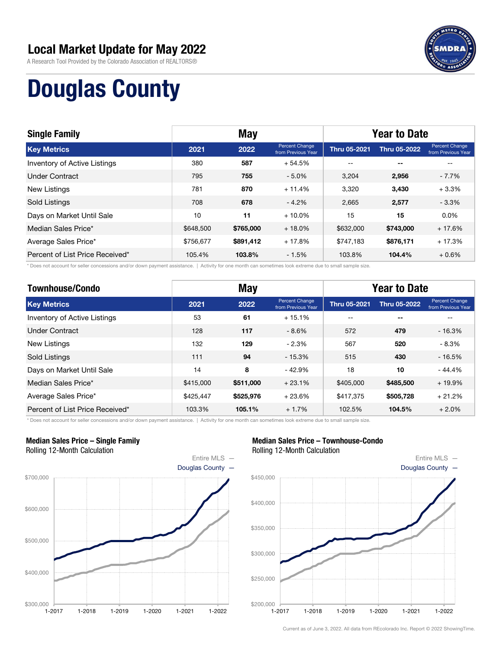

A Research Tool Provided by the Colorado Association of REALTORS®

# Douglas County

| <b>Single Family</b>            | <b>May</b> |           |                                      | <b>Year to Date</b> |                     |                                             |
|---------------------------------|------------|-----------|--------------------------------------|---------------------|---------------------|---------------------------------------------|
| <b>Key Metrics</b>              | 2021       | 2022      | Percent Change<br>from Previous Year | <b>Thru 05-2021</b> | <b>Thru 05-2022</b> | <b>Percent Change</b><br>from Previous Year |
| Inventory of Active Listings    | 380        | 587       | $+54.5%$                             | $- -$               | $- -$               |                                             |
| <b>Under Contract</b>           | 795        | 755       | $-5.0%$                              | 3.204               | 2,956               | $-7.7\%$                                    |
| New Listings                    | 781        | 870       | $+11.4%$                             | 3,320               | 3,430               | $+3.3%$                                     |
| Sold Listings                   | 708        | 678       | $-4.2%$                              | 2,665               | 2,577               | $-3.3%$                                     |
| Days on Market Until Sale       | 10         | 11        | $+10.0\%$                            | 15                  | 15                  | $0.0\%$                                     |
| Median Sales Price*             | \$648,500  | \$765,000 | $+18.0%$                             | \$632,000           | \$743,000           | $+17.6%$                                    |
| Average Sales Price*            | \$756.677  | \$891,412 | $+17.8%$                             | \$747.183           | \$876,171           | $+17.3%$                                    |
| Percent of List Price Received* | 105.4%     | 103.8%    | $-1.5%$                              | 103.8%              | 104.4%              | $+0.6%$                                     |

\* Does not account for seller concessions and/or down payment assistance. | Activity for one month can sometimes look extreme due to small sample size.

| <b>Townhouse/Condo</b>          | <b>May</b> |           |                                      | <b>Year to Date</b> |                     |                                      |  |
|---------------------------------|------------|-----------|--------------------------------------|---------------------|---------------------|--------------------------------------|--|
| <b>Key Metrics</b>              | 2021       | 2022      | Percent Change<br>from Previous Year | <b>Thru 05-2021</b> | <b>Thru 05-2022</b> | Percent Change<br>from Previous Year |  |
| Inventory of Active Listings    | 53         | 61        | $+15.1%$                             | $- -$               | $-$                 | --                                   |  |
| <b>Under Contract</b>           | 128        | 117       | $-8.6%$                              | 572                 | 479                 | $-16.3%$                             |  |
| <b>New Listings</b>             | 132        | 129       | $-2.3%$                              | 567                 | 520                 | - 8.3%                               |  |
| Sold Listings                   | 111        | 94        | $-15.3%$                             | 515                 | 430                 | $-16.5%$                             |  |
| Days on Market Until Sale       | 14         | 8         | $-42.9%$                             | 18                  | 10                  | $-44.4%$                             |  |
| Median Sales Price*             | \$415,000  | \$511,000 | $+23.1%$                             | \$405,000           | \$485,500           | $+19.9%$                             |  |
| Average Sales Price*            | \$425,447  | \$525,976 | $+23.6%$                             | \$417.375           | \$505,728           | $+21.2%$                             |  |
| Percent of List Price Received* | 103.3%     | 105.1%    | $+1.7%$                              | 102.5%              | 104.5%              | $+2.0%$                              |  |

\* Does not account for seller concessions and/or down payment assistance. | Activity for one month can sometimes look extreme due to small sample size.

#### Median Sales Price – Single Family Rolling 12-Month Calculation



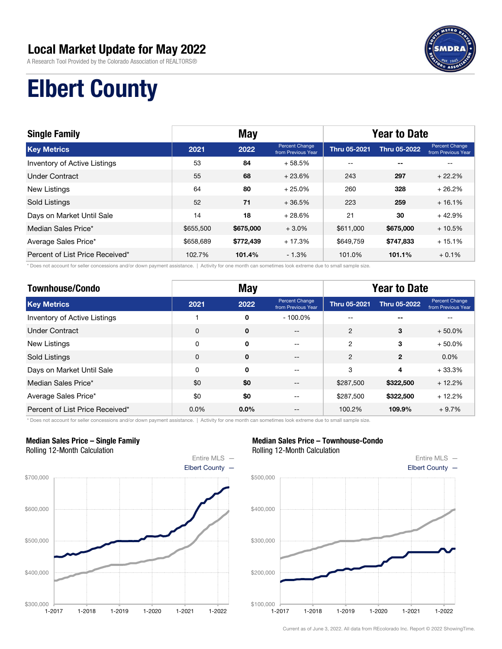A Research Tool Provided by the Colorado Association of REALTORS®



# Elbert County

| <b>Single Family</b>            | <b>May</b> |           |                                      | <b>Year to Date</b> |                          |                                      |  |
|---------------------------------|------------|-----------|--------------------------------------|---------------------|--------------------------|--------------------------------------|--|
| <b>Key Metrics</b>              | 2021       | 2022      | Percent Change<br>from Previous Year | <b>Thru 05-2021</b> | <b>Thru 05-2022</b>      | Percent Change<br>from Previous Year |  |
| Inventory of Active Listings    | 53         | 84        | $+58.5%$                             | --                  | $\overline{\phantom{a}}$ |                                      |  |
| Under Contract                  | 55         | 68        | $+23.6%$                             | 243                 | 297                      | $+22.2%$                             |  |
| <b>New Listings</b>             | 64         | 80        | $+25.0%$                             | 260                 | 328                      | $+26.2%$                             |  |
| Sold Listings                   | 52         | 71        | $+36.5%$                             | 223                 | 259                      | $+16.1%$                             |  |
| Days on Market Until Sale       | 14         | 18        | $+28.6%$                             | 21                  | 30                       | $+42.9%$                             |  |
| Median Sales Price*             | \$655,500  | \$675,000 | $+3.0%$                              | \$611,000           | \$675,000                | $+10.5%$                             |  |
| Average Sales Price*            | \$658,689  | \$772,439 | $+17.3%$                             | \$649,759           | \$747,833                | $+15.1%$                             |  |
| Percent of List Price Received* | 102.7%     | 101.4%    | $-1.3%$                              | 101.0%              | 101.1%                   | $+0.1%$                              |  |

\* Does not account for seller concessions and/or down payment assistance. | Activity for one month can sometimes look extreme due to small sample size.

| <b>Townhouse/Condo</b>          | <b>May</b>  |             |                                      | <b>Year to Date</b> |              |                                      |  |
|---------------------------------|-------------|-------------|--------------------------------------|---------------------|--------------|--------------------------------------|--|
| <b>Key Metrics</b>              | 2021        | 2022        | Percent Change<br>from Previous Year | Thru 05-2021        | Thru 05-2022 | Percent Change<br>from Previous Year |  |
| Inventory of Active Listings    |             | 0           | $-100.0\%$                           |                     | --           |                                      |  |
| <b>Under Contract</b>           | $\mathbf 0$ | $\mathbf 0$ | $- -$                                | $\overline{c}$      | 3            | $+50.0%$                             |  |
| New Listings                    | 0           | 0           | $- -$                                | 2                   | 3            | $+50.0%$                             |  |
| Sold Listings                   | $\mathbf 0$ | $\mathbf 0$ | --                                   | $\overline{2}$      | $\mathbf{2}$ | $0.0\%$                              |  |
| Days on Market Until Sale       | 0           | 0           | --                                   | 3                   | 4            | $+33.3%$                             |  |
| Median Sales Price*             | \$0         | \$0         | --                                   | \$287,500           | \$322,500    | $+12.2%$                             |  |
| Average Sales Price*            | \$0         | \$0         | $- -$                                | \$287,500           | \$322,500    | $+12.2%$                             |  |
| Percent of List Price Received* | 0.0%        | $0.0\%$     | --                                   | 100.2%              | 109.9%       | $+9.7%$                              |  |

\* Does not account for seller concessions and/or down payment assistance. | Activity for one month can sometimes look extreme due to small sample size.

#### Median Sales Price – Single Family Rolling 12-Month Calculation



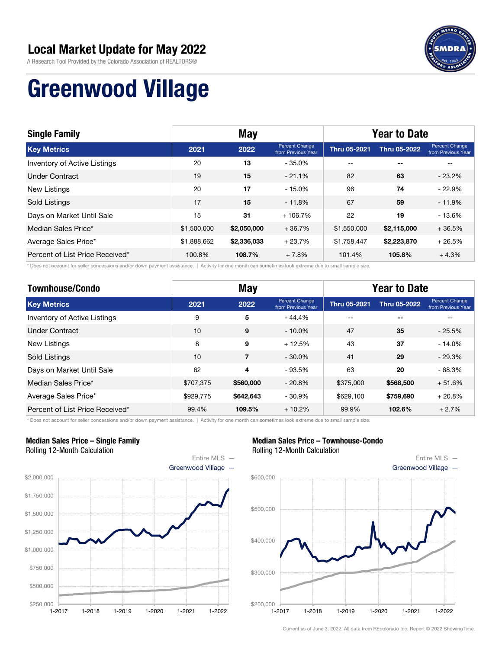

A Research Tool Provided by the Colorado Association of REALTORS®

# Greenwood Village

| <b>Single Family</b>                | <b>May</b>  |             |                                      | <b>Year to Date</b> |                     |                                             |
|-------------------------------------|-------------|-------------|--------------------------------------|---------------------|---------------------|---------------------------------------------|
| <b>Key Metrics</b>                  | 2021        | 2022        | Percent Change<br>from Previous Year | <b>Thru 05-2021</b> | <b>Thru 05-2022</b> | <b>Percent Change</b><br>from Previous Year |
| <b>Inventory of Active Listings</b> | 20          | 13          | $-35.0%$                             | --                  | $- -$               |                                             |
| <b>Under Contract</b>               | 19          | 15          | $-21.1%$                             | 82                  | 63                  | $-23.2\%$                                   |
| New Listings                        | 20          | 17          | $-15.0%$                             | 96                  | 74                  | $-22.9%$                                    |
| Sold Listings                       | 17          | 15          | $-11.8\%$                            | 67                  | 59                  | $-11.9%$                                    |
| Days on Market Until Sale           | 15          | 31          | $+106.7%$                            | 22                  | 19                  | $-13.6%$                                    |
| Median Sales Price*                 | \$1,500,000 | \$2,050,000 | $+36.7%$                             | \$1,550,000         | \$2,115,000         | $+36.5%$                                    |
| Average Sales Price*                | \$1,888,662 | \$2,336,033 | $+23.7%$                             | \$1,758,447         | \$2,223,870         | $+26.5%$                                    |
| Percent of List Price Received*     | 100.8%      | 108.7%      | $+7.8%$                              | 101.4%              | 105.8%              | $+4.3%$                                     |

\* Does not account for seller concessions and/or down payment assistance. | Activity for one month can sometimes look extreme due to small sample size.

| <b>Townhouse/Condo</b>          | <b>May</b> |                |                                             | <b>Year to Date</b> |                     |                                      |  |
|---------------------------------|------------|----------------|---------------------------------------------|---------------------|---------------------|--------------------------------------|--|
| <b>Key Metrics</b>              | 2021       | 2022           | <b>Percent Change</b><br>from Previous Year | <b>Thru 05-2021</b> | <b>Thru 05-2022</b> | Percent Change<br>from Previous Year |  |
| Inventory of Active Listings    | 9          | 5              | $-44.4%$                                    |                     | $ -$                |                                      |  |
| <b>Under Contract</b>           | 10         | 9              | $-10.0\%$                                   | 47                  | 35                  | $-25.5%$                             |  |
| <b>New Listings</b>             | 8          | 9              | $+12.5%$                                    | 43                  | 37                  | $-14.0%$                             |  |
| <b>Sold Listings</b>            | 10         | $\overline{7}$ | $-30.0\%$                                   | 41                  | 29                  | $-29.3%$                             |  |
| Days on Market Until Sale       | 62         | 4              | $-93.5%$                                    | 63                  | 20                  | $-68.3%$                             |  |
| Median Sales Price*             | \$707,375  | \$560,000      | $-20.8%$                                    | \$375,000           | \$568,500           | $+51.6%$                             |  |
| Average Sales Price*            | \$929,775  | \$642.643      | $-30.9%$                                    | \$629.100           | \$759,690           | $+20.8%$                             |  |
| Percent of List Price Received* | 99.4%      | 109.5%         | $+10.2%$                                    | 99.9%               | 102.6%              | $+2.7%$                              |  |

\* Does not account for seller concessions and/or down payment assistance. | Activity for one month can sometimes look extreme due to small sample size.

#### Median Sales Price – Single Family Rolling 12-Month Calculation



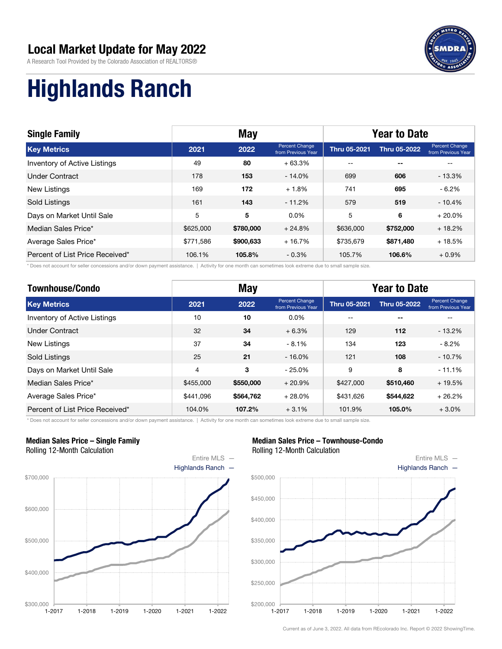

A Research Tool Provided by the Colorado Association of REALTORS®

# Highlands Ranch

| <b>Single Family</b>            | <b>May</b> |           |                                      | <b>Year to Date</b> |                     |                                             |  |
|---------------------------------|------------|-----------|--------------------------------------|---------------------|---------------------|---------------------------------------------|--|
| <b>Key Metrics</b>              | 2021       | 2022      | Percent Change<br>from Previous Year | <b>Thru 05-2021</b> | <b>Thru 05-2022</b> | <b>Percent Change</b><br>from Previous Year |  |
| Inventory of Active Listings    | 49         | 80        | $+63.3%$                             | $- -$               | $- -$               |                                             |  |
| Under Contract                  | 178        | 153       | $-14.0%$                             | 699                 | 606                 | $-13.3%$                                    |  |
| New Listings                    | 169        | 172       | $+1.8%$                              | 741                 | 695                 | $-6.2\%$                                    |  |
| Sold Listings                   | 161        | 143       | $-11.2%$                             | 579                 | 519                 | $-10.4%$                                    |  |
| Days on Market Until Sale       | 5          | 5         | $0.0\%$                              | 5                   | 6                   | $+20.0%$                                    |  |
| Median Sales Price*             | \$625,000  | \$780,000 | $+24.8%$                             | \$636,000           | \$752,000           | $+18.2%$                                    |  |
| Average Sales Price*            | \$771.586  | \$900,633 | $+16.7%$                             | \$735,679           | \$871,480           | $+18.5%$                                    |  |
| Percent of List Price Received* | 106.1%     | 105.8%    | $-0.3%$                              | 105.7%              | 106.6%              | $+0.9%$                                     |  |

\* Does not account for seller concessions and/or down payment assistance. | Activity for one month can sometimes look extreme due to small sample size.

| <b>Townhouse/Condo</b>          |           | <b>May</b> |                                      | <b>Year to Date</b> |                     |                                      |  |
|---------------------------------|-----------|------------|--------------------------------------|---------------------|---------------------|--------------------------------------|--|
| <b>Key Metrics</b>              | 2021      | 2022       | Percent Change<br>from Previous Year | <b>Thru 05-2021</b> | <b>Thru 05-2022</b> | Percent Change<br>from Previous Year |  |
| Inventory of Active Listings    | 10        | 10         | 0.0%                                 | --                  | $- -$               | --                                   |  |
| <b>Under Contract</b>           | 32        | 34         | $+6.3%$                              | 129                 | 112                 | $-13.2%$                             |  |
| <b>New Listings</b>             | 37        | 34         | $-8.1%$                              | 134                 | 123                 | $-8.2\%$                             |  |
| Sold Listings                   | 25        | 21         | $-16.0%$                             | 121                 | 108                 | $-10.7%$                             |  |
| Days on Market Until Sale       | 4         | 3          | $-25.0%$                             | 9                   | 8                   | $-11.1%$                             |  |
| Median Sales Price*             | \$455,000 | \$550,000  | $+20.9%$                             | \$427,000           | \$510,460           | $+19.5%$                             |  |
| Average Sales Price*            | \$441.096 | \$564,762  | $+28.0%$                             | \$431.626           | \$544,622           | $+26.2%$                             |  |
| Percent of List Price Received* | 104.0%    | 107.2%     | $+3.1%$                              | 101.9%              | 105.0%              | $+3.0%$                              |  |

\* Does not account for seller concessions and/or down payment assistance. | Activity for one month can sometimes look extreme due to small sample size.

#### Median Sales Price – Single Family Rolling 12-Month Calculation



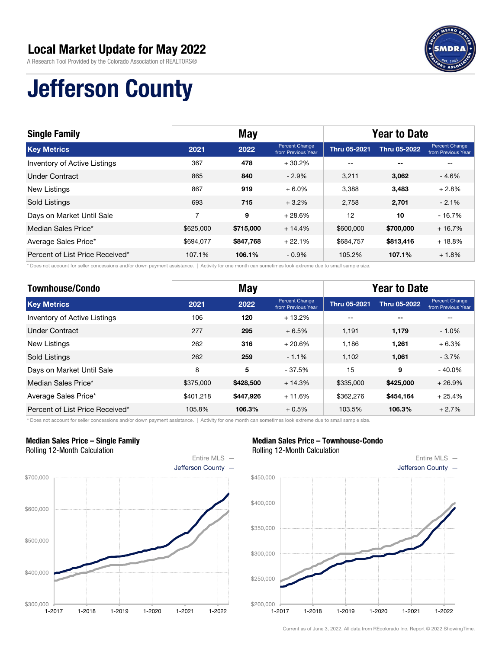

A Research Tool Provided by the Colorado Association of REALTORS®

# Jefferson County

| <b>Single Family</b>                | <b>May</b> |           |                                      | <b>Year to Date</b> |                     |                                             |
|-------------------------------------|------------|-----------|--------------------------------------|---------------------|---------------------|---------------------------------------------|
| <b>Key Metrics</b>                  | 2021       | 2022      | Percent Change<br>from Previous Year | <b>Thru 05-2021</b> | <b>Thru 05-2022</b> | <b>Percent Change</b><br>from Previous Year |
| <b>Inventory of Active Listings</b> | 367        | 478       | $+30.2%$                             | --                  | $- -$               |                                             |
| <b>Under Contract</b>               | 865        | 840       | $-2.9\%$                             | 3.211               | 3,062               | $-4.6%$                                     |
| New Listings                        | 867        | 919       | $+6.0%$                              | 3.388               | 3,483               | $+2.8%$                                     |
| Sold Listings                       | 693        | 715       | $+3.2\%$                             | 2,758               | 2,701               | $-2.1%$                                     |
| Days on Market Until Sale           | 7          | 9         | $+28.6%$                             | 12                  | 10                  | $-16.7%$                                    |
| Median Sales Price*                 | \$625,000  | \$715,000 | $+14.4%$                             | \$600,000           | \$700,000           | $+16.7%$                                    |
| Average Sales Price*                | \$694,077  | \$847,768 | $+22.1%$                             | \$684.757           | \$813,416           | $+18.8%$                                    |
| Percent of List Price Received*     | 107.1%     | 106.1%    | $-0.9\%$                             | 105.2%              | 107.1%              | $+1.8%$                                     |

\* Does not account for seller concessions and/or down payment assistance. | Activity for one month can sometimes look extreme due to small sample size.

| <b>Townhouse/Condo</b>              |           | <b>May</b> |                                      | <b>Year to Date</b> |                     |                                      |  |
|-------------------------------------|-----------|------------|--------------------------------------|---------------------|---------------------|--------------------------------------|--|
| <b>Key Metrics</b>                  | 2021      | 2022       | Percent Change<br>from Previous Year | <b>Thru 05-2021</b> | <b>Thru 05-2022</b> | Percent Change<br>from Previous Year |  |
| <b>Inventory of Active Listings</b> | 106       | 120        | $+13.2%$                             | --                  | --                  | --                                   |  |
| <b>Under Contract</b>               | 277       | 295        | $+6.5%$                              | 1.191               | 1,179               | $-1.0%$                              |  |
| New Listings                        | 262       | 316        | $+20.6%$                             | 1.186               | 1.261               | $+6.3%$                              |  |
| <b>Sold Listings</b>                | 262       | 259        | $-1.1%$                              | 1.102               | 1,061               | $-3.7%$                              |  |
| Days on Market Until Sale           | 8         | 5          | $-37.5%$                             | 15                  | 9                   | $-40.0\%$                            |  |
| Median Sales Price*                 | \$375,000 | \$428,500  | $+14.3%$                             | \$335,000           | \$425,000           | $+26.9%$                             |  |
| Average Sales Price*                | \$401.218 | \$447,926  | $+11.6%$                             | \$362,276           | \$454,164           | $+25.4%$                             |  |
| Percent of List Price Received*     | 105.8%    | 106.3%     | $+0.5%$                              | 103.5%              | 106.3%              | $+2.7%$                              |  |

\* Does not account for seller concessions and/or down payment assistance. | Activity for one month can sometimes look extreme due to small sample size.

#### Median Sales Price – Single Family Rolling 12-Month Calculation



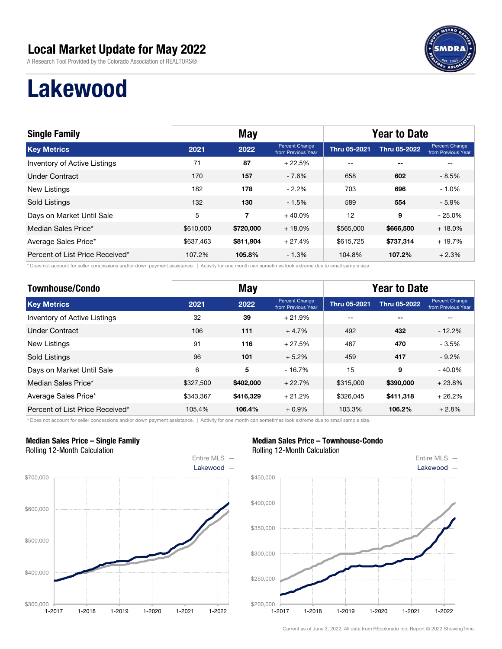A Research Tool Provided by the Colorado Association of REALTORS®



# Lakewood

| <b>Single Family</b>            | <b>May</b> |           |                                      | <b>Year to Date</b> |              |                                      |  |
|---------------------------------|------------|-----------|--------------------------------------|---------------------|--------------|--------------------------------------|--|
| <b>Key Metrics</b>              | 2021       | 2022      | Percent Change<br>from Previous Year | <b>Thru 05-2021</b> | Thru 05-2022 | Percent Change<br>from Previous Year |  |
| Inventory of Active Listings    | 71         | 87        | $+22.5%$                             | $- -$               | $- -$        | --                                   |  |
| Under Contract                  | 170        | 157       | $-7.6%$                              | 658                 | 602          | $-8.5%$                              |  |
| New Listings                    | 182        | 178       | $-2.2%$                              | 703                 | 696          | $-1.0%$                              |  |
| Sold Listings                   | 132        | 130       | $-1.5%$                              | 589                 | 554          | $-5.9%$                              |  |
| Days on Market Until Sale       | 5          | 7         | $+40.0%$                             | 12                  | 9            | $-25.0%$                             |  |
| Median Sales Price*             | \$610,000  | \$720,000 | $+18.0%$                             | \$565,000           | \$666,500    | $+18.0%$                             |  |
| Average Sales Price*            | \$637,463  | \$811.904 | $+27.4%$                             | \$615.725           | \$737,314    | $+19.7%$                             |  |
| Percent of List Price Received* | 107.2%     | 105.8%    | $-1.3%$                              | 104.8%              | 107.2%       | $+2.3%$                              |  |

\* Does not account for seller concessions and/or down payment assistance. | Activity for one month can sometimes look extreme due to small sample size.

| <b>Townhouse/Condo</b>              | <b>May</b> |           |                                      | <b>Year to Date</b> |                     |                                      |  |
|-------------------------------------|------------|-----------|--------------------------------------|---------------------|---------------------|--------------------------------------|--|
| <b>Key Metrics</b>                  | 2021       | 2022      | Percent Change<br>from Previous Year | <b>Thru 05-2021</b> | <b>Thru 05-2022</b> | Percent Change<br>from Previous Year |  |
| <b>Inventory of Active Listings</b> | 32         | 39        | $+21.9%$                             | --                  | $- -$               |                                      |  |
| Under Contract                      | 106        | 111       | $+4.7%$                              | 492                 | 432                 | $-12.2%$                             |  |
| New Listings                        | 91         | 116       | $+27.5%$                             | 487                 | 470                 | $-3.5%$                              |  |
| <b>Sold Listings</b>                | 96         | 101       | $+5.2%$                              | 459                 | 417                 | $-9.2%$                              |  |
| Days on Market Until Sale           | 6          | 5         | $-16.7%$                             | 15                  | 9                   | $-40.0\%$                            |  |
| Median Sales Price*                 | \$327,500  | \$402,000 | $+22.7%$                             | \$315,000           | \$390,000           | $+23.8%$                             |  |
| Average Sales Price*                | \$343.367  | \$416,329 | $+21.2%$                             | \$326.045           | \$411.318           | $+26.2%$                             |  |
| Percent of List Price Received*     | 105.4%     | 106.4%    | $+0.9%$                              | 103.3%              | 106.2%              | $+2.8%$                              |  |

\* Does not account for seller concessions and/or down payment assistance. | Activity for one month can sometimes look extreme due to small sample size.

#### Median Sales Price – Single Family Rolling 12-Month Calculation



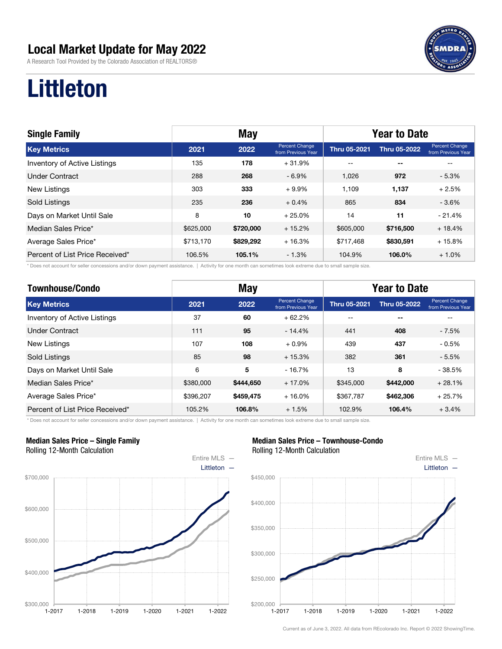A Research Tool Provided by the Colorado Association of REALTORS®



# Littleton

| <b>Single Family</b>            | <b>May</b> |           |                                      | <b>Year to Date</b> |                     |                                             |  |
|---------------------------------|------------|-----------|--------------------------------------|---------------------|---------------------|---------------------------------------------|--|
| <b>Key Metrics</b>              | 2021       | 2022      | Percent Change<br>from Previous Year | <b>Thru 05-2021</b> | <b>Thru 05-2022</b> | <b>Percent Change</b><br>from Previous Year |  |
| Inventory of Active Listings    | 135        | 178       | $+31.9%$                             | $- -$               | $- -$               |                                             |  |
| <b>Under Contract</b>           | 288        | 268       | $-6.9\%$                             | 1.026               | 972                 | $-5.3%$                                     |  |
| New Listings                    | 303        | 333       | $+9.9%$                              | 1.109               | 1.137               | $+2.5%$                                     |  |
| Sold Listings                   | 235        | 236       | $+0.4%$                              | 865                 | 834                 | $-3.6%$                                     |  |
| Days on Market Until Sale       | 8          | 10        | $+25.0%$                             | 14                  | 11                  | $-21.4%$                                    |  |
| Median Sales Price*             | \$625,000  | \$720,000 | $+15.2%$                             | \$605,000           | \$716,500           | $+18.4%$                                    |  |
| Average Sales Price*            | \$713,170  | \$829,292 | $+16.3%$                             | \$717.468           | \$830,591           | $+15.8%$                                    |  |
| Percent of List Price Received* | 106.5%     | 105.1%    | $-1.3%$                              | 104.9%              | 106.0%              | $+1.0\%$                                    |  |

\* Does not account for seller concessions and/or down payment assistance. | Activity for one month can sometimes look extreme due to small sample size.

| <b>Townhouse/Condo</b>          |           | <b>May</b> |                                      | <b>Year to Date</b> |                     |                                      |  |
|---------------------------------|-----------|------------|--------------------------------------|---------------------|---------------------|--------------------------------------|--|
| <b>Key Metrics</b>              | 2021      | 2022       | Percent Change<br>from Previous Year | <b>Thru 05-2021</b> | <b>Thru 05-2022</b> | Percent Change<br>from Previous Year |  |
| Inventory of Active Listings    | 37        | 60         | $+62.2%$                             | --                  | $- -$               | --                                   |  |
| <b>Under Contract</b>           | 111       | 95         | $-14.4%$                             | 441                 | 408                 | $-7.5%$                              |  |
| <b>New Listings</b>             | 107       | 108        | $+0.9%$                              | 439                 | 437                 | $-0.5%$                              |  |
| <b>Sold Listings</b>            | 85        | 98         | $+15.3%$                             | 382                 | 361                 | $-5.5%$                              |  |
| Days on Market Until Sale       | 6         | 5          | $-16.7%$                             | 13                  | 8                   | $-38.5%$                             |  |
| Median Sales Price*             | \$380,000 | \$444,650  | $+17.0%$                             | \$345,000           | \$442,000           | $+28.1%$                             |  |
| Average Sales Price*            | \$396,207 | \$459,475  | $+16.0%$                             | \$367.787           | \$462,306           | $+25.7%$                             |  |
| Percent of List Price Received* | 105.2%    | 106.8%     | $+1.5%$                              | 102.9%              | 106.4%              | $+3.4%$                              |  |

\* Does not account for seller concessions and/or down payment assistance. | Activity for one month can sometimes look extreme due to small sample size.

#### Median Sales Price – Single Family Rolling 12-Month Calculation



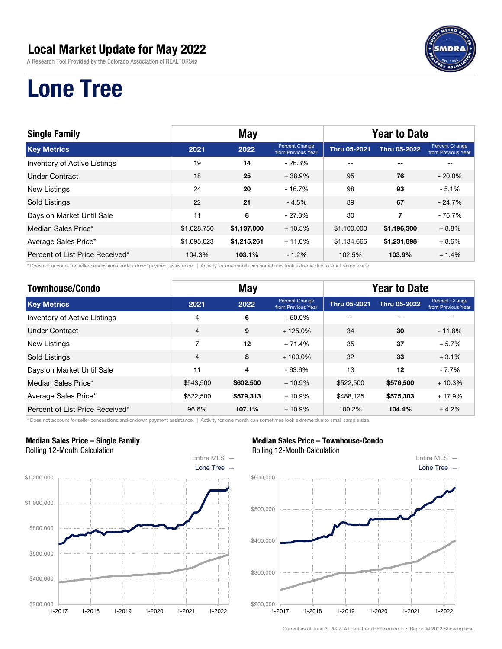A Research Tool Provided by the Colorado Association of REALTORS®



# Lone Tree

| <b>Single Family</b>            | <b>May</b>  |             |                                      | <b>Year to Date</b> |                     |                                             |  |
|---------------------------------|-------------|-------------|--------------------------------------|---------------------|---------------------|---------------------------------------------|--|
| <b>Key Metrics</b>              | 2021        | 2022        | Percent Change<br>from Previous Year | <b>Thru 05-2021</b> | <b>Thru 05-2022</b> | <b>Percent Change</b><br>from Previous Year |  |
| Inventory of Active Listings    | 19          | 14          | $-26.3%$                             | $- -$               | $-$                 |                                             |  |
| <b>Under Contract</b>           | 18          | 25          | $+38.9%$                             | 95                  | 76                  | $-20.0\%$                                   |  |
| <b>New Listings</b>             | 24          | 20          | $-16.7%$                             | 98                  | 93                  | $-5.1%$                                     |  |
| Sold Listings                   | 22          | 21          | $-4.5%$                              | 89                  | 67                  | $-24.7%$                                    |  |
| Days on Market Until Sale       | 11          | 8           | $-27.3%$                             | 30                  | 7                   | $-76.7%$                                    |  |
| Median Sales Price*             | \$1,028,750 | \$1,137,000 | $+10.5%$                             | \$1,100,000         | \$1,196,300         | $+8.8%$                                     |  |
| Average Sales Price*            | \$1,095,023 | \$1,215,261 | $+11.0%$                             | \$1,134,666         | \$1,231,898         | $+8.6%$                                     |  |
| Percent of List Price Received* | 104.3%      | 103.1%      | $-1.2%$                              | 102.5%              | 103.9%              | $+1.4%$                                     |  |

\* Does not account for seller concessions and/or down payment assistance. | Activity for one month can sometimes look extreme due to small sample size.

| <b>Townhouse/Condo</b>              | <b>May</b>     |                         |                                      | <b>Year to Date</b> |                     |                                      |  |
|-------------------------------------|----------------|-------------------------|--------------------------------------|---------------------|---------------------|--------------------------------------|--|
| <b>Key Metrics</b>                  | 2021           | 2022                    | Percent Change<br>from Previous Year | <b>Thru 05-2021</b> | <b>Thru 05-2022</b> | Percent Change<br>from Previous Year |  |
| <b>Inventory of Active Listings</b> | 4              | 6                       | $+50.0\%$                            | --                  | $ -$                |                                      |  |
| Under Contract                      | $\overline{4}$ | 9                       | $+125.0%$                            | 34                  | 30                  | $-11.8%$                             |  |
| <b>New Listings</b>                 | 7              | 12                      | $+71.4%$                             | 35                  | 37                  | $+5.7%$                              |  |
| <b>Sold Listings</b>                | $\overline{4}$ | 8                       | $+100.0\%$                           | 32                  | 33                  | $+3.1%$                              |  |
| Days on Market Until Sale           | 11             | $\overline{\mathbf{4}}$ | $-63.6%$                             | 13                  | 12                  | $-7.7%$                              |  |
| Median Sales Price*                 | \$543,500      | \$602,500               | $+10.9%$                             | \$522,500           | \$576,500           | $+10.3%$                             |  |
| Average Sales Price*                | \$522,500      | \$579,313               | $+10.9%$                             | \$488.125           | \$575,303           | $+17.9%$                             |  |
| Percent of List Price Received*     | 96.6%          | 107.1%                  | $+10.9\%$                            | 100.2%              | 104.4%              | $+4.2%$                              |  |

\* Does not account for seller concessions and/or down payment assistance. | Activity for one month can sometimes look extreme due to small sample size.

#### Median Sales Price – Single Family Rolling 12-Month Calculation



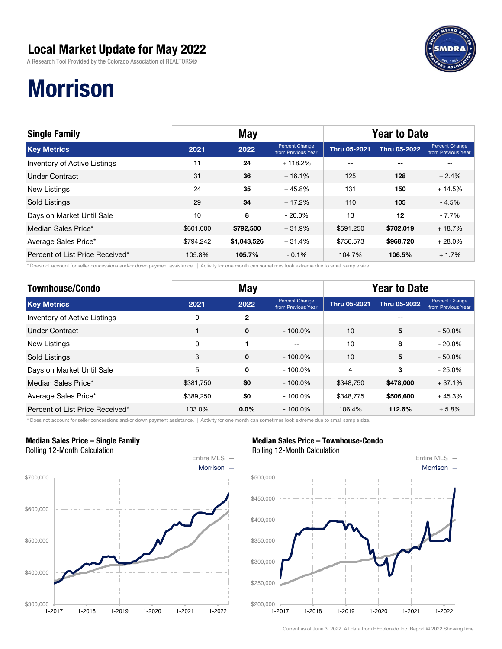A Research Tool Provided by the Colorado Association of REALTORS®



# **Morrison**

| <b>Single Family</b>                | <b>May</b> |             |                                      | <b>Year to Date</b> |              |                                             |  |
|-------------------------------------|------------|-------------|--------------------------------------|---------------------|--------------|---------------------------------------------|--|
| <b>Key Metrics</b>                  | 2021       | 2022        | Percent Change<br>from Previous Year | <b>Thru 05-2021</b> | Thru 05-2022 | <b>Percent Change</b><br>from Previous Year |  |
| <b>Inventory of Active Listings</b> | 11         | 24          | $+118.2%$                            | $- -$               | $- -$        |                                             |  |
| Under Contract                      | 31         | 36          | $+16.1%$                             | 125                 | 128          | $+2.4%$                                     |  |
| <b>New Listings</b>                 | 24         | 35          | $+45.8%$                             | 131                 | 150          | $+14.5%$                                    |  |
| Sold Listings                       | 29         | 34          | $+17.2%$                             | 110                 | 105          | $-4.5%$                                     |  |
| Days on Market Until Sale           | 10         | 8           | $-20.0\%$                            | 13                  | 12           | $-7.7%$                                     |  |
| Median Sales Price*                 | \$601,000  | \$792,500   | $+31.9%$                             | \$591,250           | \$702,019    | $+18.7%$                                    |  |
| Average Sales Price*                | \$794,242  | \$1,043,526 | $+31.4%$                             | \$756.573           | \$968,720    | $+28.0\%$                                   |  |
| Percent of List Price Received*     | 105.8%     | 105.7%      | $-0.1%$                              | 104.7%              | 106.5%       | $+1.7%$                                     |  |

\* Does not account for seller concessions and/or down payment assistance. | Activity for one month can sometimes look extreme due to small sample size.

| <b>Townhouse/Condo</b>          | <b>May</b> |              |                                             | <b>Year to Date</b> |              |                                      |  |
|---------------------------------|------------|--------------|---------------------------------------------|---------------------|--------------|--------------------------------------|--|
| <b>Key Metrics</b>              | 2021       | 2022         | <b>Percent Change</b><br>from Previous Year | <b>Thru 05-2021</b> | Thru 05-2022 | Percent Change<br>from Previous Year |  |
| Inventory of Active Listings    | 0          | $\mathbf{2}$ |                                             |                     | --           |                                      |  |
| <b>Under Contract</b>           |            | $\mathbf 0$  | $-100.0\%$                                  | 10                  | 5            | $-50.0\%$                            |  |
| <b>New Listings</b>             | 0          |              | $-$                                         | 10                  | 8            | $-20.0\%$                            |  |
| <b>Sold Listings</b>            | 3          | $\Omega$     | $-100.0\%$                                  | 10                  | 5            | $-50.0\%$                            |  |
| Days on Market Until Sale       | 5          | $\Omega$     | $-100.0\%$                                  | $\overline{4}$      | 3            | $-25.0%$                             |  |
| Median Sales Price*             | \$381,750  | \$0          | $-100.0\%$                                  | \$348.750           | \$478,000    | $+37.1%$                             |  |
| Average Sales Price*            | \$389,250  | \$0          | $-100.0\%$                                  | \$348,775           | \$506,600    | $+45.3%$                             |  |
| Percent of List Price Received* | 103.0%     | $0.0\%$      | $-100.0\%$                                  | 106.4%              | 112.6%       | $+5.8%$                              |  |

\* Does not account for seller concessions and/or down payment assistance. | Activity for one month can sometimes look extreme due to small sample size.

#### Median Sales Price – Single Family Rolling 12-Month Calculation



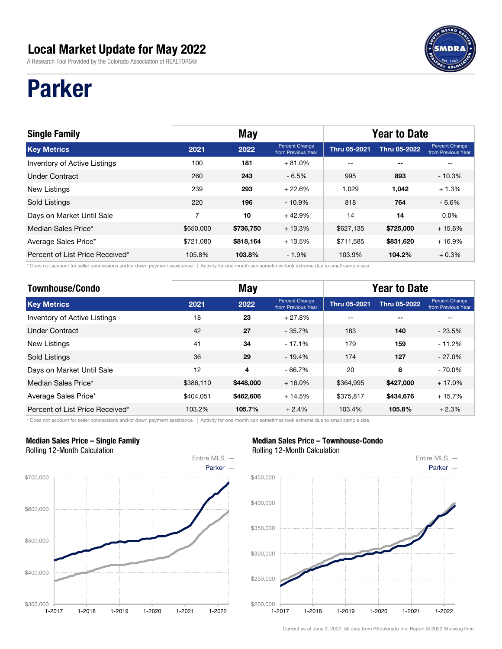A Research Tool Provided by the Colorado Association of REALTORS®

# Parker

| <b>Single Family</b>                | <b>May</b> |           |                                      | <b>Year to Date</b> |                     |                                             |  |
|-------------------------------------|------------|-----------|--------------------------------------|---------------------|---------------------|---------------------------------------------|--|
| <b>Key Metrics</b>                  | 2021       | 2022      | Percent Change<br>from Previous Year | <b>Thru 05-2021</b> | <b>Thru 05-2022</b> | <b>Percent Change</b><br>from Previous Year |  |
| <b>Inventory of Active Listings</b> | 100        | 181       | $+81.0\%$                            | $- -$               | $- -$               |                                             |  |
| <b>Under Contract</b>               | 260        | 243       | $-6.5%$                              | 995                 | 893                 | $-10.3%$                                    |  |
| <b>New Listings</b>                 | 239        | 293       | $+22.6%$                             | 1.029               | 1,042               | $+1.3%$                                     |  |
| Sold Listings                       | 220        | 196       | $-10.9\%$                            | 818                 | 764                 | $-6.6%$                                     |  |
| Days on Market Until Sale           | 7          | 10        | $+42.9%$                             | 14                  | 14                  | $0.0\%$                                     |  |
| Median Sales Price*                 | \$650,000  | \$736,750 | $+13.3%$                             | \$627,135           | \$725,000           | $+15.6%$                                    |  |
| Average Sales Price*                | \$721,080  | \$818,164 | $+13.5%$                             | \$711.585           | \$831,620           | $+16.9%$                                    |  |
| Percent of List Price Received*     | 105.8%     | 103.8%    | $-1.9%$                              | 103.9%              | 104.2%              | $+0.3%$                                     |  |

\* Does not account for seller concessions and/or down payment assistance. | Activity for one month can sometimes look extreme due to small sample size.

| <b>Townhouse/Condo</b>          | <b>May</b> |                         |                                      | <b>Year to Date</b> |                     |                                      |  |
|---------------------------------|------------|-------------------------|--------------------------------------|---------------------|---------------------|--------------------------------------|--|
| <b>Key Metrics</b>              | 2021       | 2022                    | Percent Change<br>from Previous Year | <b>Thru 05-2021</b> | <b>Thru 05-2022</b> | Percent Change<br>from Previous Year |  |
| Inventory of Active Listings    | 18         | 23                      | $+27.8%$                             | $- -$               | $-$                 |                                      |  |
| <b>Under Contract</b>           | 42         | 27                      | $-35.7%$                             | 183                 | 140                 | $-23.5%$                             |  |
| <b>New Listings</b>             | 41         | 34                      | $-17.1%$                             | 179                 | 159                 | - 11.2%                              |  |
| Sold Listings                   | 36         | 29                      | $-19.4%$                             | 174                 | 127                 | $-27.0%$                             |  |
| Days on Market Until Sale       | 12         | $\overline{\mathbf{4}}$ | $-66.7%$                             | 20                  | 6                   | $-70.0\%$                            |  |
| Median Sales Price*             | \$386,110  | \$448,000               | $+16.0%$                             | \$364,995           | \$427,000           | $+17.0%$                             |  |
| Average Sales Price*            | \$404.051  | \$462,606               | $+14.5%$                             | \$375,817           | \$434,676           | $+15.7%$                             |  |
| Percent of List Price Received* | 103.2%     | 105.7%                  | $+2.4%$                              | 103.4%              | 105.8%              | $+2.3%$                              |  |

\* Does not account for seller concessions and/or down payment assistance. | Activity for one month can sometimes look extreme due to small sample size.

#### Median Sales Price – Single Family Rolling 12-Month Calculation



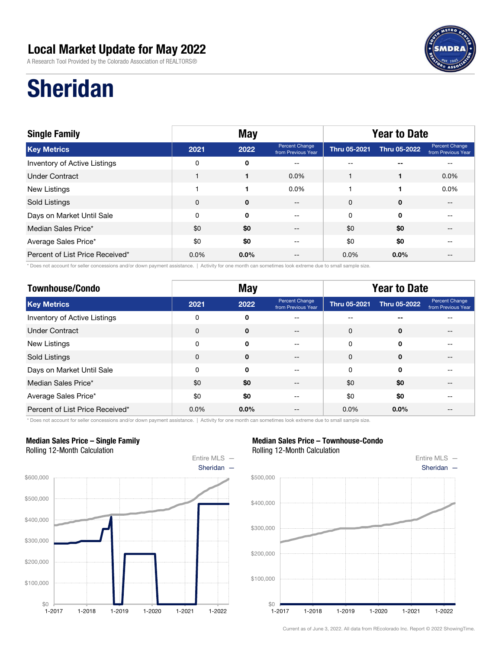A Research Tool Provided by the Colorado Association of REALTORS®



# Sheridan

| <b>Single Family</b>            | <b>May</b>  |             |                                      | <b>Year to Date</b> |              |                                      |  |
|---------------------------------|-------------|-------------|--------------------------------------|---------------------|--------------|--------------------------------------|--|
| <b>Key Metrics</b>              | 2021        | 2022        | Percent Change<br>from Previous Year | Thru 05-2021        | Thru 05-2022 | Percent Change<br>from Previous Year |  |
| Inventory of Active Listings    | 0           | 0           | $- -$                                | --                  | $- -$        |                                      |  |
| <b>Under Contract</b>           |             |             | $0.0\%$                              |                     |              | $0.0\%$                              |  |
| New Listings                    |             |             | $0.0\%$                              |                     |              | $0.0\%$                              |  |
| Sold Listings                   | $\mathbf 0$ | $\mathbf 0$ | $\qquad \qquad -$                    | 0                   | 0            |                                      |  |
| Days on Market Until Sale       | 0           | 0           | $\qquad \qquad -$                    | 0                   | $\mathbf 0$  |                                      |  |
| Median Sales Price*             | \$0         | \$0         | $ -$                                 | \$0                 | \$0          |                                      |  |
| Average Sales Price*            | \$0         | \$0         | --                                   | \$0                 | \$0          |                                      |  |
| Percent of List Price Received* | $0.0\%$     | $0.0\%$     | --                                   | $0.0\%$             | $0.0\%$      |                                      |  |

\* Does not account for seller concessions and/or down payment assistance. | Activity for one month can sometimes look extreme due to small sample size.

| <b>Townhouse/Condo</b>          | <b>May</b>  |              |                                      | <b>Year to Date</b> |              |                                      |  |
|---------------------------------|-------------|--------------|--------------------------------------|---------------------|--------------|--------------------------------------|--|
| <b>Key Metrics</b>              | 2021        | 2022         | Percent Change<br>from Previous Year | Thru 05-2021        | Thru 05-2022 | Percent Change<br>from Previous Year |  |
| Inventory of Active Listings    | 0           | 0            | --                                   |                     | --           |                                      |  |
| <b>Under Contract</b>           | $\mathbf 0$ | $\mathbf{0}$ | --                                   | $\Omega$            | $\mathbf 0$  |                                      |  |
| New Listings                    | 0           | 0            | --                                   | 0                   | $\mathbf 0$  | --                                   |  |
| Sold Listings                   | 0           | $\mathbf 0$  | --                                   | $\Omega$            | $\mathbf{0}$ | $- -$                                |  |
| Days on Market Until Sale       | $\mathbf 0$ | 0            | --                                   | 0                   | $\mathbf 0$  | $- -$                                |  |
| Median Sales Price*             | \$0         | \$0          |                                      | \$0                 | \$0          |                                      |  |
| Average Sales Price*            | \$0         | \$0          |                                      | \$0                 | \$0          |                                      |  |
| Percent of List Price Received* | 0.0%        | $0.0\%$      |                                      | $0.0\%$             | $0.0\%$      | --                                   |  |

\* Does not account for seller concessions and/or down payment assistance. | Activity for one month can sometimes look extreme due to small sample size.

#### Median Sales Price – Single Family Rolling 12-Month Calculation